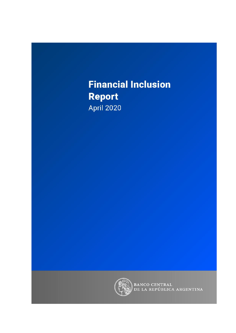# **Financial Inclusion Report April 2020**



BANCO CENTRAL<br>DE LA REPÚBLICA ARGENTINA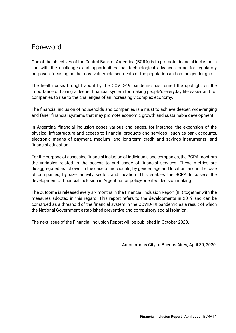### <span id="page-1-0"></span>Foreword

One of the objectives of the Central Bank of Argentina (BCRA) is to promote financial inclusion in line with the challenges and opportunities that technological advances bring for regulatory purposes, focusing on the most vulnerable segments of the population and on the gender gap.

The health crisis brought about by the COVID-19 pandemic has turned the spotlight on the importance of having a deeper financial system for making people's everyday life easier and for companies to rise to the challenges of an increasingly complex economy.

The financial inclusion of households and companies is a must to achieve deeper, wide-ranging and fairer financial systems that may promote economic growth and sustainable development.

In Argentina, financial inclusion poses various challenges, for instance, the expansion of the physical infrastructure and access to financial products and services—such as bank accounts, electronic means of payment, medium- and long-term credit and savings instruments—and financial education.

For the purpose of assessing financial inclusion of individuals and companies, the BCRA monitors the variables related to the access to and usage of financial services. These metrics are disaggregated as follows: in the case of individuals, by gender, age and location; and in the case of companies, by size, activity sector, and location. This enables the BCRA to assess the development of financial inclusion in Argentina for policy-oriented decision making.

The outcome is released every six months in the Financial Inclusion Report (IIF) together with the measures adopted in this regard. This report refers to the developments in 2019 and can be construed as a threshold of the financial system in the COVID-19 pandemic as a result of which the National Government established preventive and compulsory social isolation.

The next issue of the Financial Inclusion Report will be published in October 2020.

Autonomous City of Buenos Aires, April 30, 2020.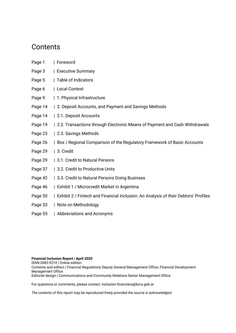### **Contents**

- [Page 1 | Foreword](#page-1-0)
- [Page 3 | Executive Summary](#page-3-0)
- Page 5 | Table of Indicators
- [Page 6 | Local](#page-6-0) Context
- [Page 9 | 1. Physical Infrastructure](#page-9-0)
- [Page 14 | 2. Deposit Accounts, and Payment and Savings Methods](#page-14-0)
- [Page 14 | 2.1. Deposit Accounts](#page-14-1)
- [Page 19 | 2.2. Transactions through Electronic Means of Payment and Cash Withdrawals](#page-19-0)
- [Page 23 | 2.3. Savings Methods](#page-23-0)
- [Page 26 | Box / Regional Comparison of the Regulatory Framework of Basic Accounts](#page-26-0)
- [Page 29 | 3. Credit](#page-29-0)
- [Page 29 | 3.1. Credit to Natural Persons](#page-29-1)
- [Page 37 | 3.2. Credit to Productive Units](#page-37-0)
- [Page 42 | 3.3. Credit to Natural Persons Doing Business](#page-42-0)
- [Page 46 | Exhibit 1 / Microcredit Market in Argentina](#page-46-0)
- Page 50 [| Exhibit 2 / Fintech and Financial Inclusion: An Analysis of their Debtors' Profiles](#page-50-0)
- [Page 53 | Note on Methodology](#page-53-0)
- [Page 55 | Abbreviations and Acronyms](#page-55-0)

#### **Financial Inclusion Report | April 2020**

ISSN 2683-9210 | Online edition Contents and edition | Financial Regulations Deputy General Management Office, Financial Development Management Office Editorial design | Communications and Community Relations Senior Management Office

For questions or comments, please contact: inclusion.financiera@bcra.gob.ar

*The contents of this report may be reproduced freely provided the source is acknowledged.*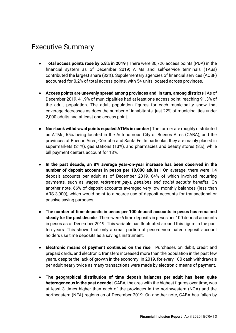### Executive Summary

- <span id="page-3-0"></span>● **Total access points rose by 5.8% in 2019** | There were 30,726 access points (PDA) in the financial system as of December 2019; ATMs and self-service terminals (TASs) contributed the largest share (82%). Supplementary agencies of financial services (ACSF) accounted for 0.2% of total access points, with 54 units located across provinces.
- **Access points are unevenly spread among provinces and, in turn, among districts** | As of December 2019, 41.9% of municipalities had at least one access point, reaching 91.3% of the adult population. The adult population figures for each municipality show that coverage decreases as does the number of inhabitants: just 22% of municipalities under 2,000 adults had at least one access point.
- **Non-bank withdrawal points equaled ATMs in number** | The former are roughly distributed as ATMs, 65% being located in the Autonomous City of Buenos Aires (CABA), and the provinces of Buenos Aires, Córdoba and Santa Fe. In particular, they are mainly placed in supermarkets (21%), gas stations (13%), and pharmacies and beauty stores (8%), while bill payment centers account for 13%.
- **In the past decade, an 8% average year-on-year increase has been observed in the number of deposit accounts in pesos per 10,000 adults** | On average, there were 1.4 deposit accounts per adult as of December 2019, 64% of which involved recurring payments, such as *wages, retirement pays, pensions and social security benefits*. On another note, 66% of deposit accounts averaged very low monthly balances (less than ARS 3,000), which would point to a scarce use of deposit accounts for transactional or passive saving purposes.
- **The number of time deposits in pesos per 100 deposit accounts in pesos has remained steady for the past decade** | There were 6 time deposits in pesos per 100 deposit accounts in pesos as of December 2019. This variable has fluctuated around this figure in the past ten years. This shows that only a small portion of peso-denominated deposit account holders use time deposits as a savings instrument.
- **Electronic means of payment continued on the rise** | Purchases on debit, credit and prepaid cards, and electronic transfers increased more than the population in the past few years, despite the lack of growth in the economy. In 2019, for every 100 cash withdrawals per adult nearly twice as many transactions were made by electronic means of payment.
- **The geographical distribution of time deposit balances per adult has been quite heterogeneous in the past decade** | CABA, the area with the highest figures over time, was at least 3 times higher than each of the provinces in the northwestern (NOA) and the northeastern (NEA) regions as of December 2019. On another note, CABA has fallen by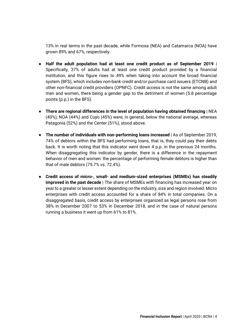13% in real terms in the past decade, while Formosa (NEA) and Catamarca (NOA) have grown 89% and 67%, respectively.

- **Half the adult population had at least one credit product as of September 2019** | Specifically, 37% of adults had at least one credit product provided by a financial institution, and this figure rises to 49% when taking into account the broad financial system (BFS), which includes non-bank credit and/or purchase card issuers (ETCNB) and other non-financial credit providers (OPNFC). Credit access is not the same among adult men and women, there being a gender gap to the detriment of women (5.8 percentage points (p.p.) in the BFS).
- **There are regional differences in the level of population having obtained financing** | NEA (40%), NOA (44%) and Cuyo (45%) were, in general, below the national average, whereas Patagonia (52%) and the Center (51%), stood above.
- **The number of individuals with non-performing loans increased** | As of September 2019, 74% of debtors within the BFS had performing loans, that is, they could pay their debts back. It is worth noting that this indicator went down 4 p.p. in the previous 24 months. When disaggregating this indicator by gender, there is a difference in the repayment behavior of men and women: the percentage of performing female debtors is higher than that of male debtors (75.7% vs. 72.4%).
- **Credit access of micro-, small- and medium-sized enterprises (MSMEs) has steadily improved in the past decade** | The share of MSMEs with financing has increased year on year to a greater or lesser extent depending on the industry, size and region involved. Micro enterprises with credit access accounted for a share of 84% in total companies. On a disaggregated basis, credit access by enterprises organized as legal persons rose from 38% in December 2007 to 53% in December 2018, and in the case of natural persons running a business it went up from 61% to 81%.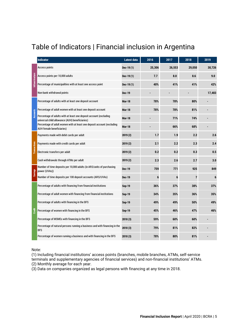# Table of Indicators | Financial inclusion in Argentina

|                        | <b>Indicator</b>                                                                                                    | Latest data   | 2016   | 2017   | 2018           | 2019   |
|------------------------|---------------------------------------------------------------------------------------------------------------------|---------------|--------|--------|----------------|--------|
|                        | Access points                                                                                                       | Dec-19(1)     | 25,306 | 26,553 | 29,050         | 30,726 |
|                        | Access points per 10,000 adults                                                                                     | Dec-19 $(1)$  | 7.7    | 8.0    | 8.6            | 9.0    |
| <b>Infraestructure</b> | Percentage of municipalities with at least one access point                                                         | Dec-19 $(1)$  | 40%    | 41%    | 41%            | 42%    |
|                        | Non-bank withdrawal points                                                                                          | <b>Dec-19</b> |        |        |                | 17,483 |
|                        | Percentage of adults with at least one deposit account                                                              | <b>Mar-18</b> | 78%    | 78%    | 80%            |        |
|                        | Percentage of adult women with at least one deposit account                                                         | <b>Mar-18</b> | 78%    | 78%    | 81%            |        |
| <b>Accounts</b>        | Percentage of adults with at least one deposit account (excluding<br>universal child allowance (AUH) beneficiaries) | <b>Mar-18</b> |        | 71%    | 74%            |        |
|                        | Percentage of adult women with at least one deposit account (excluding<br>AUH female beneficiaries)                 | <b>Mar-18</b> |        | 66%    | 68%            |        |
|                        | Payments made with debit cards per adult                                                                            | 2019(2)       | 1.7    | 1.9    | 2.2            | 2.6    |
|                        | Payments made with credit cards per adult                                                                           | 2019(2)       | 2.1    | 2.2    | 2.3            | 2.4    |
| Transactions           | Electronic transfers per adult                                                                                      | 2019(2)       | 0.2    | 0.2    | 0.3            | 0.5    |
|                        | Cash withdrawals through ATMs per adult                                                                             | 2019(2)       | 2.3    | 2.6    | 2.7            | 3.0    |
|                        | Number of time deposits per 10,000 adults (in ARS/units of purchasing<br>power (UVAs))                              | <b>Dec-19</b> | 759    | 771    | 925            | 849    |
| <b>Savings</b>         | Number of time deposits per 100 deposit accounts (ARS/UVAs)                                                         | <b>Dec-19</b> | 6      | 6      | $\overline{7}$ | 6      |
|                        | Percentage of adults with financing from financial institutions                                                     | <b>Sep-19</b> | 36%    | 37%    | 38%            | 37%    |
|                        | Percentage of adult women with financing from financial institutions                                                | Sep-19        | 34%    | 35%    | 36%            | 35%    |
|                        | Percentage of adults with financing in the BFS                                                                      | <b>Sep-19</b> | 49%    | 49%    | 50%            | 49%    |
| Credi                  | Percentage of women with financing in the BFS                                                                       | Sep-19        | 45%    | 46%    | 47%            | 46%    |
|                        | Percentage of MSMEs with financing in the BFS                                                                       | 2018(3)       | 59%    | 60%    | 60%            |        |
|                        | Percentage of natural persons running a business and with financing in the<br><b>BFS</b>                            | 2018(3)       | 79%    | 81%    | 82%            |        |
|                        | Percentage of women running a business and with financing in the BFS                                                | 2018(3)       | 78%    | 80%    | 81%            |        |

Note:

(1) Including financial institutions' access points (branches, mobile branches, ATMs, self-service terminals and supplementary agencies of financial services) and non-financial institutions' ATMs. (2) Monthly average for each year.

(3) Data on companies organized as legal persons with financing at any time in 2018.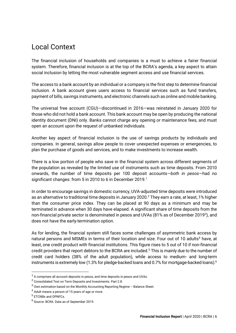### <span id="page-6-0"></span>Local Context

The financial inclusion of households and companies is a must to achieve a fairer financial system. Therefore, financial inclusion is at the top of the BCRA's agenda, a key aspect to attain social inclusion by letting the most vulnerable segment access and use financial services.

The access to a bank account by an individual or a company is the first step to determine financial inclusion. A bank account gives users access to financial services such as fund transfers, payment of bills, savings instruments, and electronic channels such as online and mobile banking.

The universal free account (CGU)—discontinued in 2016—was reinstated in January 2020 for those who did not hold a bank account. This bank account may be open by producing the national identity document (DNI) only. Banks cannot charge any opening or maintenance fees, and must open an account upon the request of unbanked individuals.

Another key aspect of financial inclusion is the use of savings products by individuals and companies. In general, savings allow people to cover unexpected expenses or emergencies, to plan the purchase of goods and services, and to make investments to increase wealth.

There is a low portion of people who save in the financial system across different segments of the population as revealed by the limited use of instruments such as time deposits. From 2010 onwards, the number of time deposits per 100 deposit accounts—*both in pesos*—had no significant changes: from 5 in 2010 to 6 in December 2019.<sup>1</sup>

In order to encourage savings in domestic currency, UVA-adjusted time deposits were introduced as an alternative to traditional time deposits in January 2020.<sup>2</sup> They earn a rate, at least, 1% higher than the consumer price index. They can be placed at 90 days as a minimum and may be terminated in advance when 30 days have elapsed. A significant share of time deposits from the non-financial private sector is denominated in pesos and UVAs (81% as of December 2019*<sup>3</sup>* ), and does not have the early-termination option.

As for lending, the financial system still faces some challenges of asymmetric bank access by natural persons and MSMEs in terms of their location and size. Four out of 10 adults<sup>4</sup> have, at least, one credit product with financial institutions. This figure rises to 5 out of 10 if non-financial credit providers that report debtors to the BCRA are included.<sup>5</sup> This is mainly due to the number of credit card holders (38% of the adult population), while access to medium- and long-term instruments is extremely low (1.3% for pledge-backed loans and 0.7% for mortgage-backed loans).<sup>6</sup>

 $^1$  It comprises all account deposits in pesos, and time deposits in pesos and UVAs.

 $^2$  [Consolidated Text on Term Deposits and Investments. Part 2.8.](http://www.bcra.gob.ar/Pdfs/Texord/t-depinv.pdf)

 $3$  Own estimation based on the Monthly Accounting Reporting Regime – Balance Sheet.

 $^4$  Adult means a person of 15 years of age or more.

<sup>&</sup>lt;sup>5</sup> ETCNBs and OPNFCs.

<sup>6</sup> Source: BCRA. Data as of September 2019.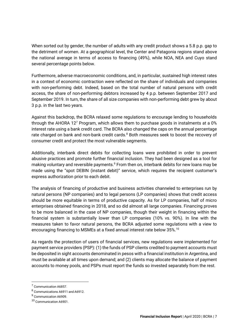When sorted out by gender, the number of adults with any credit product shows a 5.8 p.p. gap to the detriment of women. At a geographical level, the Center and Patagonia regions stand above the national average in terms of access to financing (49%), while NOA, NEA and Cuyo stand several percentage points below.

Furthermore, adverse macroeconomic conditions, and, in particular, sustained high interest rates in a context of economic contraction were reflected on the share of individuals and companies with non-performing debt. Indeed, based on the total number of natural persons with credit access, the share of non-performing debtors increased by 4 p.p. between September 2017 and September 2019. In turn, the share of all size companies with non-performing debt grew by about 3 p.p. in the last two years.

Against this backdrop, the BCRA relaxed some regulations to encourage lending to households through the AHORA 12<sup>7</sup> Program, which allows them to purchase goods in instalments at a 0% interest rate using a bank credit card. The BCRA also changed the caps on the annual percentage rate charged on bank and non-bank credit cards.<sup>8</sup> Both measures seek to boost the recovery of consumer credit and protect the most vulnerable segments.

Additionally, interbank direct debits for collecting loans were prohibited in order to prevent abusive practices and promote further financial inclusion. They had been designed as a tool for making voluntary and reversible payments.<sup>9</sup> From then on, interbank debits for new loans may be made using the "spot DEBIN (instant debit)" service, which requires the recipient customer's express authorization prior to each debit.

The analysis of financing of productive and business activities channeled to enterprises run by natural persons (NP companies) and to legal persons (LP companies) shows that credit access should be more equitable in terms of productive capacity. As for LP companies, half of micro enterprises obtained financing in 2018, and so did almost all large companies. Financing proves to be more balanced in the case of NP companies, though their weight in financing within the financial system is substantially lower than LP companies (10% vs. 90%). In line with the measures taken to favor natural persons, the BCRA adjusted some regulations with a view to encouraging financing to MSMEs at a fixed annual interest rate below 35%.<sup>10</sup>

As regards the protection of users of financial services, new regulations were implemented for payment service providers (PSP): (1) the funds of PSP clients credited to payment accounts must be deposited in sight accounts denominated in pesos with a financial institution in Argentina, and must be available at all times upon demand; and (2) clients may allocate the balance of payment accounts to money pools, and PSPs must report the funds so invested separately from the rest.

<sup>&</sup>lt;sup>7</sup> [Communication A6857.](http://www.bcra.gov.ar/Pdfs/comytexord/A6857.pdf)

 $^8$  [Communications A6911](http://www.bcra.gov.ar/Pdfs/comytexord/A6911.pdf) and [A6912.](http://www.bcra.gov.ar/Pdfs/comytexord/A6912.pdf)

<sup>&</sup>lt;sup>9</sup> [Communication A6909.](http://www.bcra.gov.ar/Pdfs/comytexord/A6909.pdf)

<sup>10</sup> [Communication A6901.](http://www.bcra.gov.ar/Pdfs/comytexord/A6901.pdf)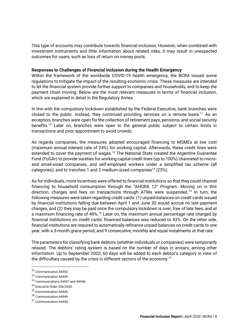This type of accounts may contribute towards financial inclusion. However, when combined with investment instruments and little information about related risks, it may result in unexpected outcomes for users, such as loss of return on money pools.

#### **Responses to Challenges of Financial Inclusion during the Health Emergency**

Within the framework of the worldwide COVID-19 health emergency, the BCRA issued some regulations to mitigate the impact of the resulting economic crisis. These measures are intended to let the financial system provide further support to companies and households, and to keep the payment chain moving. Below are the most relevant measures in terms of financial inclusion, which are explained in detail in the Regulatory Annex.

In line with the compulsory lockdown established by the Federal Executive, bank branches were closed to the public. Instead, they continued providing services on a remote basis.<sup>11</sup> As an exception, branches were open for the collection of retirement pays, pensions, and social security benefits.<sup>12</sup> Later on, branches were open to the general public subject to certain limits in transactions and prior appointment to avoid crowds.

As regards companies, the measures adopted encouraged financing to MSMEs at low cost (maximum annual interest rate of 24%) for working capital. Afterwards, these credit lines were extended to cover the payment of wages.<sup>13</sup> The National State created the Argentine Guarantee Fund (FoGAr) to provide sureties for working capital credit lines (up to 100%) channeled to microand small-sized companies, and self-employed workers under a simplified tax scheme (all categories); and to tranches 1 and 2 medium-sized companies<sup>14</sup> (25%).

As for individuals, more incentives were offered to financial institutions so that they could channel financing to household consumption through the "AHORA 12" Program. Moving on in this direction, charges and fees on transactions through ATMs were suspended.<sup>15</sup> In turn, the following measures were taken regarding credit cards: (1) unpaid balances on credit cards issued by financial institutions falling due between April 1 and June 30 would accrue no late payment charges, and (2) they may be paid once the compulsory lockdown is over, free of late fees, and at a maximum financing rate of 49%.<sup>16</sup> Later on, the maximum annual percentage rate charged by financial institutions on credit cards' financed balances was reduced to 43%. On the other side, financial institutions are required to automatically refinance unpaid balances on credit cards to one year, with a 3-month grace period, and 9 consecutive, monthly and equal instalments at that rate.

The parameters for classifying bank debtors (whether individuals or companies) were temporarily relaxed. The debtors' rating system is based on the number of days in arrears, among other information. Up to September 2020, 60 days will be added to each debtor's category in view of the difficulties caused by the crisis in different sectors of the economy.<sup>17</sup>

<sup>11</sup> [Communication A6942.](https://www.bcra.gob.ar/Pdfs/comytexord/A6942.pdf)

<sup>12</sup> [Communication A6949.](http://www.bcra.gob.ar/Pdfs/comytexord/A6949.pdf)

<sup>13</sup> [Communications A6937](http://www.bcra.gob.ar/Pdfs/comytexord/A6937.pdf) an[d A6946.](http://www.bcra.gob.ar/Pdfs/comytexord/A6946.pdf)

<sup>14</sup> [Executive Order 326/2020.](http://servicios.infoleg.gob.ar/infolegInternet/anexos/335000-339999/335975/norma.htm)

<sup>15</sup> [Communication A6945.](http://www.bcra.gob.ar/Pdfs/comytexord/A6945.pdf)

<sup>16</sup> [Communication A6949.](http://www.bcra.gob.ar/Pdfs/comytexord/A6949.pdf)

<sup>17</sup> [Communication A6938.](http://www.bcra.gob.ar/Pdfs/comytexord/A6938.pdf)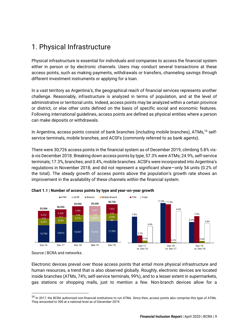# <span id="page-9-0"></span>1. Physical Infrastructure

Physical infrastructure is essential for individuals and companies to access the financial system either in person or by electronic channels. Users may conduct several transactions at these access points, such as making payments, withdrawals or transfers, channeling savings through different investment instruments or applying for a loan.

In a vast territory as Argentina's, the geographical reach of financial services represents another challenge. Reasonably, infrastructure is analyzed in terms of population, and at the level of administrative or territorial units. Indeed, access points may be analyzed within a certain province or district, or else other units defined on the basis of specific social and economic features. Following international guidelines, access points are defined as physical entities where a person can make deposits or withdrawals.

In Argentina, access points consist of bank branches (including mobile branches), ATMs,<sup>18</sup> selfservice terminals, mobile branches, and ACSFs (commonly referred to as bank agents).

There were 30,726 access points in the financial system as of December 2019, climbing 5.8% visà-vis December 2018. Breaking down access points by type, 57.3% were ATMs; 24.9%, self-service terminals; 17.3%, branches; and 0.4%, mobile branches. ACSFs were incorporated into Argentina's regulations in November 2018, and did not represent a significant share—only 54 units (0.2% of the total). The steady growth of access points above the population's growth rate shows an improvement in the availability of these channels within the financial system.





Source | BCRA and networks.

Electronic devices prevail over those access points that entail more physical infrastructure and human resources, a trend that is also observed globally. Roughly, electronic devices are located inside branches (ATMs, 74%; self-service terminals, 99%), and to a lesser extent in supermarkets, gas stations or shopping malls, just to mention a few. Non-branch devices allow for a

<sup>&</sup>lt;sup>18</sup> In 2017, the BCRA authorized non-financial institutions to run ATMs. Since then, access points also comprise this type of ATMs. They amounted to 300 at a national level as of December 2019.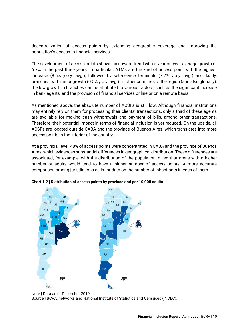decentralization of access points by extending geographic coverage and improving the population's access to financial services.

The development of access points shows an upward trend with a year-on-year average growth of 6.7% in the past three years. In particular, ATMs are the kind of access point with the highest increase (8.6% y.o.y. avg.), followed by self-service terminals (7.2% y.o.y. avg.) and, lastly, branches, with minor growth (0.5% y.o.y. avg.). In other countries of the region (and also globally), the low growth in branches can be attributed to various factors, such as the significant increase in bank agents, and the provision of financial services online or on a remote basis.

As mentioned above, the absolute number of ACSFs is still low. Although financial institutions may entirely rely on them for processing their clients' transactions, only a third of these agents are available for making cash withdrawals and payment of bills, among other transactions. Therefore, their potential impact in terms of financial inclusion is yet reduced. On the upside, all ACSFs are located outside CABA and the province of Buenos Aires, which translates into more access points in the interior of the country.

At a provincial level, 48% of access points were concentrated in CABA and the province of Buenos Aires, which evidences substantial differences in geographical distribution. These differences are associated, for example, with the distribution of the population, given that areas with a higher number of adults would tend to have a higher number of access points. A more accurate comparison among jurisdictions calls for data on the number of inhabitants in each of them.



**Chart 1.2 | Distribution of access points by province and per 10,000 adults**

Note | Data as of December 2019. Source | BCRA, networks and National Institute of Statistics and Censuses (INDEC).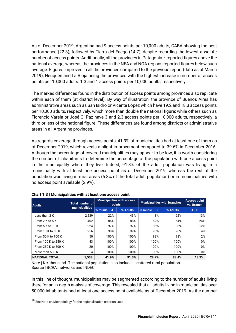As of December 2019, Argentina had 9 access points per 10,000 adults, CABA showing the best performance (22.3), followed by Tierra del Fuego (14.7), despite recording the lowest absolute number of access points. Additionally, all the provinces in Patagonia<sup>19</sup> reported figures above the national average, whereas the provinces in the NEA and NOA regions reported figures below such average. Figures improved in all the provinces compared to the previous report (data as of March 2019), Neuquén and La Rioja being the provinces with the highest increase in number of access points per 10,000 adults: 1.3 and 1 access points per 10,000 adults, respectively.

The marked differences found in the distribution of access points among provinces also replicate within each of them (at district level). By way of illustration, the province of Buenos Aires has administrative areas such as San Isidro or Vicente López which have 19.2 and 18.3 access points per 10,000 adults, respectively, which more than double the national figure; while others such as Florencio Varela or José C. Paz have 3 and 2.3 access points per 10,000 adults, respectively, a third or less of the national figure. These differences are found among districts or administrative areas in all Argentine provinces.

As regards coverage through access points, 41.9% of municipalities had at least one of them as of December 2019, which reveals a slight improvement compared to 39.6% in December 2016. Although the percentage of covered municipalities may appear to be low, it is worth considering the number of inhabitants to determine the percentage of the population with one access point in the municipality where they live. Indeed, 91.3% of the adult population was living in a municipality with at least one access point as of December 2019, whereas the rest of the population was living in rural areas (5.8% of the total adult population) or in municipalities with no access point available (2.9%).

| <b>Adults</b>         | <b>Total number of</b> | <b>points</b>    | <b>Municipalities with access</b> | <b>Municipalities with branches</b> | <b>Access point</b><br>vs. Branch |         |  |
|-----------------------|------------------------|------------------|-----------------------------------|-------------------------------------|-----------------------------------|---------|--|
|                       | municipalities         | $%$ munic. $-A-$ | % Adults                          | $%$ munic. $-B-$                    | % Adults                          | $A - B$ |  |
| Less than 2 K         | 2,539                  | 22%              | 43%                               | 8%                                  | 22%                               | 13%     |  |
| From $2$ K to $5$ K   | 402                    | 86%              | 88%                               | 62%                                 | 64%                               | 24%     |  |
| From $5$ K to $10$ K  | 224                    | 97%              | 97%                               | 85%                                 | 86%                               | 12%     |  |
| From 10 K to 50 K     | 256                    | 98%              | 99%                               | 95%                                 | 96%                               | 4%      |  |
| From 50 K to 100 K    | 50                     | 100%             | 100%                              | 98%                                 | 98%                               | 2%      |  |
| From 100 K to 250 K   | 43                     | 100%             | 100%                              | 100%                                | 100%                              | $0\%$   |  |
| From 250 K to 500 K   | 20                     | 100%             | 100%                              | 100%                                | 100%                              | $0\%$   |  |
| More than 500 K       | 4                      | 100%             | 100%                              | 100%                                | 100%                              | $0\%$   |  |
| <b>NATIONAL TOTAL</b> | 3,538                  | 41.9%            | 91.3%                             | 28.7%                               | 88.4%                             | 13.3%   |  |

Note | K = thousand. The national population also includes scattered rural population. Source | BCRA, networks and INDEC.

In this line of thought, municipalities may be segmented according to the number of adults living there for an in-depth analysis of coverage. This revealed that all adults living in municipalities over 50,000 inhabitants had at least one access point available as of December 2019. As the number

 $19$  See Note on Methodology for the regionalization criterion used.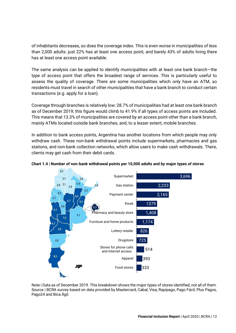of inhabitants decreases, so does the coverage index. This is even worse in municipalities of less than 2,000 adults: just 22% has at least one access point, and barely 43% of adults living there has at least one access point available.

The same analysis can be applied to identify municipalities with at least one bank branch—the type of access point that offers the broadest range of services. This is particularly useful to assess the quality of coverage. There are some municipalities which only have an ATM, so residents must travel in search of other municipalities that have a bank branch to conduct certain transactions (e.g. apply for a loan).

Coverage through branches is relatively low: 28.7% of municipalities had at least one bank branch as of December 2019; this figure would climb to 41.9% if all types of access points are included. This means that 13.3% of municipalities are covered by an access point other than a bank branch, mainly ATMs located outside bank branches, and, to a lesser extent, mobile branches.

In addition to bank access points, Argentina has another locations from which people may only withdraw cash. These non-bank withdrawal points include supermarkets, pharmacies and gas stations, and non-bank collection networks, which allow users to make cash withdrawals. There, clients may get cash from their debit cards.



### **Chart 1.4 | Number of non-bank withdrawal points per 10,000 adults and by major types of stores**

Note | Data as of December 2019. This breakdown shows the major types of stores identified, not all of them. Source | BCRA survey based on data provided by Mastercard, Cabal, Visa, Rapipago, Pago Fácil, Plus Pagos, Pago24 and Bica Ágil.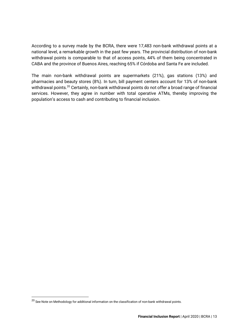According to a survey made by the BCRA, there were 17,483 non-bank withdrawal points at a national level, a remarkable growth in the past few years. The provincial distribution of non-bank withdrawal points is comparable to that of access points, 44% of them being concentrated in CABA and the province of Buenos Aires, reaching 65% if Córdoba and Santa Fe are included.

The main non-bank withdrawal points are supermarkets (21%), gas stations (13%) and pharmacies and beauty stores (8%). In turn, bill payment centers account for 13% of non-bank withdrawal points.<sup>20</sup> Certainly, non-bank withdrawal points do not offer a broad range of financial services. However, they agree in number with total operative ATMs, thereby improving the population's access to cash and contributing to financial inclusion.

 $^{20}$  See Note on Methodology for additional information on the classification of non-bank withdrawal points.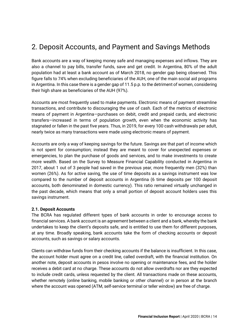# <span id="page-14-0"></span>2. Deposit Accounts, and Payment and Savings Methods

Bank accounts are a way of keeping money safe and managing expenses and inflows. They are also a channel to pay bills, transfer funds, save and get credit. In Argentina, 80% of the adult population had at least a bank account as of March 2018, no gender gap being observed. This figure falls to 74% when excluding beneficiaries of the AUH, one of the main social aid programs in Argentina. In this case there is a gender gap of 11.5 p.p. to the detriment of women, considering their high share as beneficiaries of the AUH (97%).

Accounts are most frequently used to make payments. Electronic means of payment streamline transactions, and contribute to discouraging the use of cash. Each of the metrics of electronic means of payment in Argentina—purchases on debit, credit and prepaid cards, and electronic transfers—increased in terms of population growth, even when the economic activity has stagnated or fallen in the past five years. Thus, in 2019, for every 100 cash withdrawals per adult, nearly twice as many transactions were made using electronic means of payment.

Accounts are only a way of keeping savings for the future. Savings are that part of income which is not spent for consumption; instead they are meant to cover for unexpected expenses or emergencies, to plan the purchase of goods and services, and to make investments to create more wealth. Based on the Survey to Measure Financial Capability conducted in Argentina in 2017, about 1 out of 3 people had saved in the previous year, more frequently men (32%) than women (26%). As for active saving, the use of time deposits as a savings instrument was low compared to the number of deposit accounts in Argentina (6 time deposits per 100 deposit accounts, both denominated in domestic currency). This ratio remained virtually unchanged in the past decade, which means that only a small portion of deposit account holders uses this savings instrument.

### <span id="page-14-1"></span>**2.1. Deposit Accounts**

The BCRA has regulated different types of bank accounts in order to encourage access to financial services. A bank account is an agreement between a client and a bank, whereby the bank undertakes to keep the client's deposits safe, and is entitled to use them for different purposes, at any time. Broadly speaking, bank accounts take the form of checking accounts or deposit accounts, such as savings or salary accounts.

Clients can withdraw funds from their checking accounts if the balance is insufficient. In this case, the account holder must agree on a credit line, called overdraft, with the financial institution. On another note, deposit accounts in pesos involve no opening or maintenance fees, and the holder receives a debit card at no charge. These accounts do not allow overdrafts nor are they expected to include credit cards, unless requested by the client. All transactions made on these accounts, whether remotely (online banking, mobile banking or other channel) or in person at the branch where the account was opened (ATM, self-service terminal or teller window) are free of charge.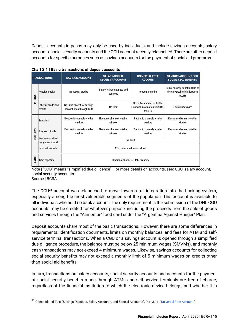Deposit accounts in pesos may only be used by individuals, and include savings accounts, salary accounts, social security accounts and the CGU account recently relaunched. There are other deposit accounts for specific purposes such as savings accounts for the payment of social aid programs.

|               |                                          | Chart Z. I   Dasic transactions or deposit accounts      |                                                 |                                                                            |                                                                            |
|---------------|------------------------------------------|----------------------------------------------------------|-------------------------------------------------|----------------------------------------------------------------------------|----------------------------------------------------------------------------|
|               | <b>TRANSACTIONS</b>                      | <b>SAVINGS ACCOUNT</b>                                   | <b>SALARY/SOCIAL</b><br><b>SECURITY ACCOUNT</b> | <b>UNIVERSAL FREE</b><br><b>ACCOUNT</b>                                    | <b>SAVINGS ACCOUNT FOR</b><br><b>SOCIAL SEC. BENEFITS</b>                  |
| INFLOWS       | <b>Regular credits</b>                   | No regular credits                                       | Salary/retirement pays and<br>pensions          | No regular credits                                                         | Social security benefits such as<br>the universal child allowance<br>(AUH) |
|               | Other deposits and<br><b>credits</b>     | No limit, except for savings<br>account open through SDD | No limit                                        | Up to the amount set by the<br>Financial Information Unit (UIF)<br>for SDD | 5 minimum wages                                                            |
|               | <b>Transfers</b>                         | Electronic channels + teller<br>window                   | Electronic channels + teller<br>window          | Electronic channels + teller<br>window                                     | Electronic channels + teller<br>window                                     |
| DUTFLOWS      | Payment of bills                         | Electronic channels + teller<br>window                   | Electronic channels + teller<br>window          | Electronic channels + teller<br>window                                     | Electronic channels + teller<br>window                                     |
|               | Purchase at stores<br>using a debit card |                                                          |                                                 | No limit                                                                   |                                                                            |
|               | <b>Cash withdrawals</b>                  |                                                          |                                                 | ATM, teller window and stores                                              |                                                                            |
| <b>SAVING</b> | <b>Time deposits</b>                     |                                                          | Electronic channels + teller window             |                                                                            |                                                                            |



Note | "SDD" means "simplified due diligence". For more details on accounts, see: [CGU,](https://youtu.be/-ItKQ30li-4) [salary account,](https://www.bcra.gob.ar/Saber_es_central/cuentas-sueldo-abiertas-por-trabajadores.html)  social security accounts. Source | BCRA.

The CGU<sup>21</sup> account was relaunched to move towards full integration into the banking system, especially among the most vulnerable segments of the population. This account is available to all individuals who hold no bank account. The only requirement is the submission of the DNI. CGU accounts may be credited for whatever purpose, including the proceeds from the sale of goods and services through the "Alimentar" food card under the "Argentina Against Hunger" Plan.

Deposit accounts share most of the basic transactions. However, there are some differences in requirements: identification documents, limits on monthly balances, and fees for ATM and selfservice terminal transactions. When a CGU or a savings account is opened through a simplified due diligence procedure, the balance must be below 25 minimum wages (SMVMs), and monthly cash transactions may not exceed 4 minimum wages. Likewise, savings accounts for collecting social security benefits may not exceed a monthly limit of 5 minimum wages on credits other than social aid benefits.

In turn, transactions on salary accounts, social security accounts and accounts for the payment of social security benefits made through ATMs and self-service terminals are free of charge, regardless of the financial institution to which the electronic device belongs, and whether it is

<sup>&</sup>lt;sup>21</sup> Consolidated Text "Savings Deposits, Salary Accounts, and Special Accounts", Part 3.11, "[Universal Free Account](http://www.bcra.gob.ar/Pdfs/Texord/t-depaho.pdf)".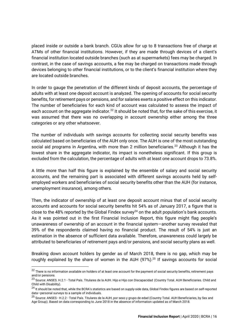placed inside or outside a bank branch. CGUs allow for up to 8 transactions free of charge at ATMs of other financial institutions. However, if they are made through devices of a client's financial institution located outside branches (such as at supermarkets) fees may be charged. In contrast, in the case of savings accounts, a fee may be charged on transactions made through devices belonging to other financial institutions, or to the client's financial institution where they are located outside branches.

In order to gauge the penetration of the different kinds of deposit accounts, the percentage of adults with at least one deposit account is analyzed. The opening of accounts for social security benefits, for retirement pays or pensions, and for salaries exerts a positive effect on this indicator. The number of beneficiaries for each kind of account was calculated to assess the impact of each account on the aggregate indicator.<sup>22</sup> It should be noted that, for the sake of this exercise, it was assumed that there was no overlapping in account ownership either among the three categories or any other whatsoever.

The number of individuals with savings accounts for collecting social security benefits was calculated based on beneficiaries of the AUH only once. The AUH is one of the most outstanding social aid programs in Argentina, with more than 2 million beneficiaries.<sup>23</sup> Although it has the lowest share in the aggregate indicator, its impact is nonetheless significant. If this group is excluded from the calculation, the percentage of adults with at least one account drops to 73.8%.

A little more than half this figure is explained by the ensemble of salary and social security accounts, and the remaining part is associated with different savings accounts held by selfemployed workers and beneficiaries of social security benefits other than the AUH (for instance, unemployment insurance), among others.

Then, the indicator of ownership of at least one deposit account minus that of social security accounts and accounts for social security benefits hit 54% as of January 2017, a figure that is close to the 48% reported by the Global Findex survey<sup>24</sup> on the adult population's bank accounts. As it was pointed out in the first Financial Inclusion Report, this figure might flag people's unawareness of ownership of an account in the financial system—another survey revealed that 39% of the respondents claimed having no financial product. The result of 54% is just an estimation in the absence of sufficient data available. Therefore, unawareness could largely be attributed to beneficiaries of retirement pays and/or pensions, and social security plans as well.

Breaking down account holders by gender as of March 2018, there is no gap, which may be roughly explained by the share of women in the AUH  $(97%)$ .<sup>25</sup> If savings accounts for social

<sup>&</sup>lt;sup>22</sup> There is no information available on holders of at least one account for the payment of social security benefits, retirement pays and/or pensions.

<sup>&</sup>lt;sup>23</sup> Source[: ANSES. H](https://www.anses.gob.ar/informacion/datos-abiertos-asignaciones-universales).2.1 - [Total País. Titulares de la AUH. Hijo e Hijo con](https://www.anses.gob.ar/informacion/datos-abiertos-asignaciones-universales) Discapacidad (Country Total. AUH Beneficiaries. Child and Child with Disability).

<sup>&</sup>lt;sup>24</sup> It should be noted that, while the BCRA's statistics are based on supply-side data, Global Findex figures are based on self-reported data—personal surveys to a sample of individuals.

<sup>&</sup>lt;sup>25</sup> Source: ANSES - H.2.2 - [Total País. Titulares de la AUH, por sexo y grupo de edad](https://www.anses.gob.ar/informacion/datos-abiertos-asignaciones-universales) (Country Total. AUH Beneficiaries, by Sex and Age Group). Based on data corresponding to June 2018 in the absence of information updated as of March 2018.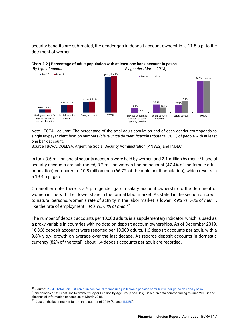security benefits are subtracted, the gender gap in deposit account ownership is 11.5 p.p. to the detriment of women.



**Chart 2.2 | Percentage of adult population with at least one bank account in pesos** *By type of account By gender (March 2018)*

Note | TOTAL column: The percentage of the total adult population and of each gender corresponds to single taxpayer identification numbers (*clave única de identificación tributaria*, CUIT) of people with at least one bank account.

Source | BCRA, COELSA, Argentine Social Security Administration (ANSES) and INDEC.

In turn, 3.6 million social security accounts were held by women and 2.1 million by men.<sup>26</sup> If social security accounts are subtracted, 8.2 million women had an account (47.4% of the female adult population) compared to 10.8 million men (66.7% of the male adult population), which results in a 19.4 p.p. gap.

On another note, there is a 9 p.p. gender gap in salary account ownership to the detriment of women in line with their lower share in the formal labor market. As stated in the section on credit to natural persons, women's rate of activity in the labor market is lower—*49% vs. 70% of men*—, like the rate of employment—*44% vs. 64% of men.*<sup>27</sup>

The number of deposit accounts per 10,000 adults is a supplementary indicator, which is used as a proxy variable in countries with no data on deposit account ownerships. As of December 2019, 16,866 deposit accounts were reported per 10,000 adults, 1.6 deposit accounts per adult, with a 9.6% y.o.y. growth on average over the last decade. As regards deposit accounts in domestic currency (82% of the total), about 1.4 deposit accounts per adult are recorded.

<sup>&</sup>lt;sup>26</sup> Source: P.2.4 - [Total País. Titulares únicos con al menos una jubilación o](https://www.anses.gob.ar/informacion/estadisticas-de-la-seguridad-social) pensión contributiva por grupo de edad y sexo

<sup>(</sup>Beneficiaries of At Least One Retirement Pay or Pension by Age Group and Sex). Based on data corresponding to June 2018 in the absence of information updated as of March 2018.

<sup>&</sup>lt;sup>27</sup> Data on the labor market for the third quarter of 2019 (Source: **INDEC**).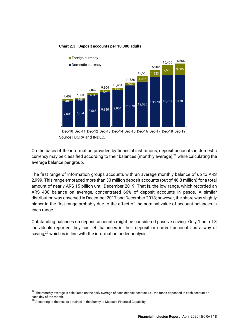#### **Chart 2.3 | Deposit accounts per 10,000 adults**



Source | BCRA and INDEC. Dec-10 Dec-11 Dec-12 Dec-13 Dec-14 Dec-15 Dec-16 Dec-17 Dec-18 Dec-19

On the basis of the information provided by financial institutions, deposit accounts in domestic currency may be classified according to their balances (monthly average),<sup>28</sup> while calculating the average balance per group.

The first range of information groups accounts with an average monthly balance of up to ARS 2,999. This range embraced more than 30 million deposit accounts (out of 46.8 million) for a total amount of nearly ARS 15 billion until December 2019. That is, the low range, which recorded an ARS 480 balance on average, concentrated 66% of deposit accounts in pesos. A similar distribution was observed in December 2017 and December 2018; however, the share was slightly higher in the first range probably due to the effect of the nominal value of account balances in each range.

Outstanding balances on deposit accounts might be considered passive saving. Only 1 out of 3 individuals reported they had left balances in their deposit or current accounts as a way of saving, $29$  which is in line with the information under analysis.

 $^{28}$  The monthly average is calculated on the daily average of each deposit account, i.e., the funds deposited in each account on each day of the month.

 $29$  According to the results obtained in the Survey to Measure Financial Capability.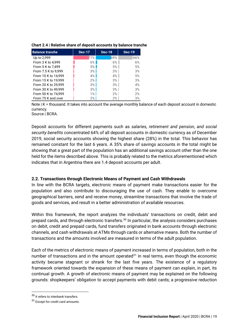| <b>Balance tranche</b> | <b>Dec-17</b> | <b>Dec-18</b> | <b>Dec-19</b> |
|------------------------|---------------|---------------|---------------|
| Up to 2,999            | 71%           | 69%           | 66%           |
| From 3 K to 4,999      | $6\%$         | $6\%$         | 6%            |
| From 5 K to 7,499      | 5%            | 5%            | 5%            |
| From 7.5 K to 9,999    | 3%            | $3\%$         | 3%            |
| From 10 K to 14,999    | $4\%$         | $4\%$         | 5%            |
| From 15 K to 19,999    | 2%            | $3\%$         | 3%            |
| From 20 K to 29,999    | 3%            | $3\%$         | 4%            |
| From 30 K to 49,999    | 3%            | $3\%$         | 3%            |
| From 50 K to 74,999    | $1\%$         | 2%            | 2%            |
| From 75 K and over     | 2%            | 2%            | 3%            |

**Chart 2.4 | Relative share of deposit accounts by balance tranche**

Note | K = thousand. It takes into account the average monthly balance of each deposit account in domestic currency.

Source | BCRA.

Deposit accounts for different payments such as *salaries, retirement and pension, and social security benefits* concentrated 64% of all deposit accounts in domestic currency as of December 2019, social security accounts showing the highest share (28%) in the total. This behavior has remained constant for the last 6 years. A 35% share of savings accounts in the total might be showing that a great part of the population has an additional savings account other than the one held for the items described above. This is probably related to the metrics aforementioned which indicates that in Argentina there are 1.4 deposit accounts per adult.

### <span id="page-19-0"></span>**2.2. Transactions through Electronic Means of Payment and Cash Withdrawals**

In line with the BCRA targets, electronic means of payment make transactions easier for the population and also contribute to discouraging the use of cash. They enable to overcome geographical barriers, send and receive money, streamline transactions that involve the trade of goods and services, and result in a better administration of available resources.

Within this framework, the report analyzes the individuals' transactions on credit, debit and prepaid cards, and through electronic transfers.<sup>30</sup> In particular, the analysis considers purchases on debit, credit and prepaid cards, fund transfers originated in bank accounts through electronic channels, and cash withdrawals at ATMs through cards or alternative means. Both the number of transactions and the amounts involved are measured in terms of the adult population.

Each of the metrics of electronic means of payment increased in terms of population, both in the number of transactions and in the amount operated $31$  in real terms, even though the economic activity became stagnant or shrank for the last five years. The existence of a regulatory framework oriented towards the expansion of these means of payment can explain, in part, its continual growth. A growth of electronic means of payment may be explained on the following grounds: shopkeepers' obligation to accept payments with debit cards; a progressive reduction

<sup>30</sup> It refers to interbank transfers.

<sup>31</sup> Except for credit card amounts.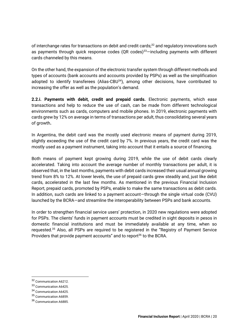of interchange rates for transactions on debit and credit cards;<sup>32</sup> and regulatory innovations such as payments through quick response codes  $(QR \text{ codes})^{33}$  including payments with different cards channeled by this means.

On the other hand, the expansion of the electronic transfer system through different methods and types of accounts (bank accounts and accounts provided by PSPs) as well as the simplification adopted to identify transferees (Alias-CBU<sup>34</sup>), among other decisions, have contributed to increasing the offer as well as the population's demand.

**2.2.i. Payments with debit, credit and prepaid cards.** Electronic payments, which ease transactions and help to reduce the use of cash, can be made from different technological environments such as cards, computers and mobile phones. In 2019, electronic payments with cards grew by 12% on average in terms of transactions per adult, thus consolidating several years of growth**.**

In Argentina, the debit card was the mostly used electronic means of payment during 2019, slightly exceeding the use of the credit card by 7%. In previous years, the credit card was the mostly used as a payment instrument, taking into account that it entails a source of financing.

Both means of payment kept growing during 2019, while the use of debit cards clearly accelerated. Taking into account the average number of monthly transactions per adult, it is observed that, in the last months, payments with debit cards increased their usual annual growing trend from 8% to 12%. At lower levels, the use of prepaid cards grew steadily and, just like debit cards, accelerated in the last few months. As mentioned in the previous Financial Inclusion Report, prepaid cards, promoted by PSPs, enable to make the same transactions as debit cards. In addition, such cards are linked to a payment account—through the single virtual code (CVU) launched by the BCRA—and streamline the interoperability between PSPs and bank accounts.

In order to strengthen financial service users' protection, in 2020 new regulations were adopted for PSPs. The clients' funds in payment accounts must be credited in sight deposits in pesos in domestic financial institutions and must be immediately available at any time, when so requested.<sup>35</sup> Also, all PSPs are required to be registered in the "Registry of Payment Service Providers that provide payment accounts" and to report<sup>36</sup> to the BCRA.

<sup>32</sup> [Communication A6212.](http://www.bcra.gov.ar/Pdfs/comytexord/A6212.pdf)

<sup>33</sup> [Communication A6425.](http://www.bcra.gov.ar/Pdfs/comytexord/A6425.pdf)

<sup>34</sup> [Communication A6425.](http://www.bcra.gov.ar/Pdfs/comytexord/A6425.pdf)

<sup>35</sup> [Communication A6859.](http://www.bcra.gov.ar/Pdfs/comytexord/A6859.pdf)

<sup>36</sup> [Communication A6885.](http://www.bcra.gov.ar/Pdfs/comytexord/A6885.pdf)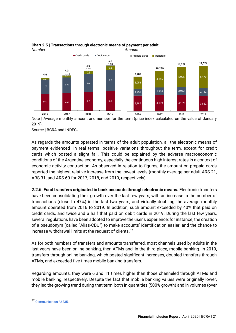

#### **Chart 2.5 | Transactions through electronic means of payment per adult** *Number Amount*

Note | Average monthly amount and number for the term (price index calculated on the value of January 2019).

Source | BCRA and INDEC**.**

As regards the amounts operated in terms of the adult population, all the electronic means of payment evidenced—in real terms—positive variations throughout the term, except for credit cards which posted a slight fall. This could be explained by the adverse macroeconomic conditions of the Argentine economy, especially the continuous high interest rates in a context of economic activity contraction. As observed in relation to figures, the amount on prepaid cards reported the highest relative increase from the lowest levels (monthly average per adult ARS 21, ARS 31, and ARS 60 for 2017, 2018, and 2019, respectively).

**2.2.ii. Fund transfers originated in bank accounts through electronic means.** Electronic transfers have been consolidating their growth over the last few years, with an increase in the number of transactions (close to 47%) in the last two years, and virtually doubling the average monthly amount operated from 2016 to 2019. In addition, such amount exceeded by 40% that paid on credit cards, and twice and a half that paid on debit cards in 2019. During the last few years, several regulations have been adopted to improve the user's experience; for instance, the creation of a pseudonym (called "Alias-CBU") to make accounts' identification easier, and the chance to increase withdrawal limits at the request of clients.<sup>37</sup>

As for both numbers of transfers and amounts transferred, most channels used by adults in the last years have been online banking, then ATMs and, in the third place, mobile banking. In 2019, transfers through online banking, which posted significant increases, doubled transfers through ATMs, and exceeded five times mobile banking transfers.

Regarding amounts, they were 6 and 11 times higher than those channeled through ATMs and mobile banking, respectively. Despite the fact that mobile banking values were originally lower, they led the growing trend during that term, both in quantities (500% growth) and in volumes (over

<sup>37</sup> [Communication A6235.](http://www.bcra.gov.ar/Pdfs/comytexord/A6235.pdf)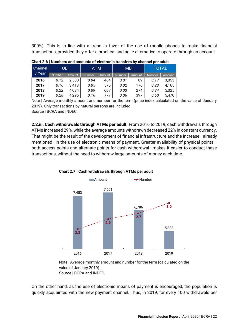300%). This is in line with a trend in favor of the use of mobile phones to make financial transactions, provided they offer a practical and agile alternative to operate through an account.

| Channel | 0B<br>/ Year<br><b>Number</b><br>Amount |       | <b>ATM</b>              |     | MВ            |               | TOTAL  |        |  |  |
|---------|-----------------------------------------|-------|-------------------------|-----|---------------|---------------|--------|--------|--|--|
|         |                                         |       | <b>Number</b><br>Amount |     | <b>Number</b> | <b>Amount</b> | Number | Amount |  |  |
| 2016    | 0.12                                    | 2,500 | 0.04                    | 464 | 0.01          | 89            | 0.17   | 3,053  |  |  |
| 2017    | 0.16                                    | 3,413 | 0.05                    | 575 | 0.02          | 176           | 0.23   | 4,165  |  |  |
| 2018    | 0.22                                    | 4.084 | 0.09                    | 667 | 0.03          | 274           | 0.34   | 5.025  |  |  |
| 2019    | 0.28                                    | 4.296 | 0.16                    | 777 | 0.06          | 397           | 0.50   | 5.470  |  |  |

**Chart 2.6 | Numbers and amounts of electronic transfers by channel per adult**

Note | Average monthly amount and number for the term (price index calculated on the value of January 2019). Only transactions by natural persons are included. Source | BCRA and INDEC.

**2.2.iii. Cash withdrawals through ATMs per adult.** From 2016 to 2019, cash withdrawals through ATMs increased 29%, while the average amounts withdrawn decreased 22% in constant currency. That might be the result of the development of financial infrastructure and the increase—already mentioned—in the use of electronic means of payment. Greater availability of physical points both access points and alternate points for cash withdrawal—makes it easier to conduct these transactions, without the need to withdraw large amounts of money each time.



**Chart 2.7 | Cash withdrawals through ATMs per adult**

Note | Average monthly amount and number for the term (calculated on the value of January 2019). Source | BCRA and INDEC.

On the other hand, as the use of electronic means of payment is encouraged, the population is quickly acquainted with the new payment channel. Thus, in 2019, for every 100 withdrawals per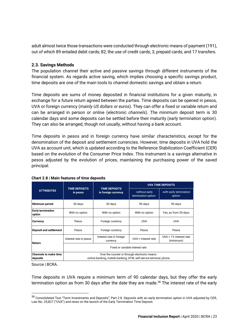adult almost twice those transactions were conducted through electronic means of payment (191), out of which 89 entailed debit cards; 82, the use of credit cards; 3, prepaid cards; and 17 transfers.

### <span id="page-23-0"></span>**2.3. Savings Methods**

The population channel their active and passive savings through different instruments of the financial system. As regards active saving, which implies choosing a specific savings product, time deposits are one of the main tools to channel domestic savings and obtain a return.

Time deposits are sums of money deposited in financial institutions for a given maturity, in exchange for a future return agreed between the parties. Time deposits can be opened in pesos, UVA or foreign currency (*mainly US dollars or euros*). They can offer a fixed or variable return and can be arranged in person or online (*electronic channels*). The minimum deposit term is 30 calendar days and some deposits can be settled before their maturity (*early termination option*). They can also be arranged, though not usually, without having a bank account.

Time deposits in pesos and in foreign currency have similar characteristics, except for the denomination of the deposit and settlement currencies. However, time deposits in UVA hold the UVA as account unit, which is updated according to the Reference Stabilization Coefficient (CER) based on the evolution of the Consumer Price Index. This instrument is a savings alternative in pesos adjusted by the evolution of prices, maintaining the purchasing power of the saved principal.

|                                          |                                                                                                                     |                                             |                                       | <b>UVA TIME DEPOSITS</b>            |  |  |  |  |  |  |
|------------------------------------------|---------------------------------------------------------------------------------------------------------------------|---------------------------------------------|---------------------------------------|-------------------------------------|--|--|--|--|--|--|
| <b>ATTRIBUTES</b>                        | <b>TIME DEPOSITS</b><br>in pesos                                                                                    | <b>TIME DEPOSITS</b><br>in foreign currency | -without early<br>termination option- | -with early termination<br>option-  |  |  |  |  |  |  |
| Minimum period                           | 30 days                                                                                                             | 30 days                                     | 90 days                               | 90 days                             |  |  |  |  |  |  |
| <b>Early termination</b><br>option       | With no option                                                                                                      | With no option                              | With no option                        | Yes, as from 30 days                |  |  |  |  |  |  |
| <b>Currency</b>                          | Pesos                                                                                                               | Foreign currency                            | <b>UVA</b>                            | <b>UVA</b>                          |  |  |  |  |  |  |
| <b>Deposit and settlement</b>            | Pesos                                                                                                               | Foreign currency                            | Pesos                                 | Pesos                               |  |  |  |  |  |  |
| Return                                   | Interest rate in pesos                                                                                              | Interest rate in foreign<br>currency        | UVA + interest rate                   | UVA + 1% interest rate<br>(minimum) |  |  |  |  |  |  |
|                                          | Fixed or variable interest rate                                                                                     |                                             |                                       |                                     |  |  |  |  |  |  |
| <b>Channels to make time</b><br>deposits | Over the counter or through electronic means<br>-online banking, mobile banking, ATM, self-service terminal, phone. |                                             |                                       |                                     |  |  |  |  |  |  |

**Chart 2.8 | Main features of time deposits**

Source | BCRA.

Time deposits in UVA require a minimum term of 90 calendar days, but they offer the early termination option as from 30 days after the date they are made.<sup>38</sup> The interest rate of the early

 $38$  Consolidated Text "Term Investments and Deposits", Part 2.8. Deposits with an early termination option in UVA adjusted by CER, [Law No. 25,827 \("UVA"\)](https://www.bcra.gob.ar/Pdfs/Texord/t-depinv.pdf) an[d news on the launch of the Early Termination Time Deposit.](http://www.bcra.gob.ar/Noticias/Plazo-Fijo-UVA-Precancelable.asp)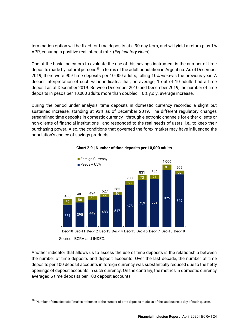termination option will be fixed for time deposits at a 90-day term, and will yield a return plus 1% APR, ensuring a positive real interest rate. (*[Explanatory video](https://youtu.be/Qz8-6lrWK4U)*).

One of the basic indicators to evaluate the use of this savings instrument is the number of time deposits made by natural persons<sup>39</sup> in terms of the adult population in Argentina. As of December 2019, there were 909 time deposits per 10,000 adults, falling 10% vis-à-vis the previous year. A deeper interpretation of such value indicates that, on average, 1 out of 10 adults had a time deposit as of December 2019. Between December 2010 and December 2019, the number of time deposits in pesos per 10,000 adults more than doubled, 10% y.o.y. average increase.

During the period under analysis, time deposits in domestic currency recorded a slight but sustained increase, standing at 93% as of December 2019. The different regulatory changes streamlined time deposits in domestic currency—through electronic channels for either clients or non-clients of financial institutions—and responded to the real needs of users, i.e., to keep their purchasing power. Also, the conditions that governed the forex market may have influenced the population's choice of savings products.



#### **Chart 2.9 | Number of time deposits per 10,000 adults**

Source | BCRA and INDEC. Dec-10 Dec-11 Dec-12 Dec-13 Dec-14 Dec-15 Dec-16 Dec-17 Dec-18 Dec-19

Another indicator that allows us to assess the use of time deposits is the relationship between the number of time deposits and deposit accounts. Over the last decade, the number of time deposits per 100 deposit accounts in foreign currency was substantially reduced due to the hefty openings of deposit accounts in such currency. On the contrary, the metrics in domestic currency averaged 6 time deposits per 100 deposit accounts.

 $39$  "Number of time deposits" makes reference to the number of time deposits made as of the last business day of each quarter.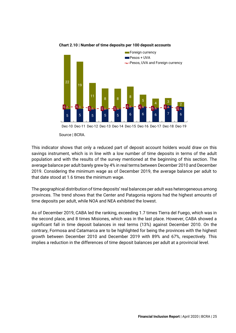

#### **Chart 2.10 | Number of time deposits per 100 deposit accounts**

Source | BCRA.

This indicator shows that only a reduced part of deposit account holders would draw on this savings instrument, which is in line with a low number of time deposits in terms of the adult population and with the results of the survey mentioned at the beginning of this section. The average balance per adult barely grew by 4% in real terms between December 2010 and December 2019. Considering the minimum wage as of December 2019, the average balance per adult to that date stood at 1.6 times the minimum wage.

The geographical distribution of time deposits' real balances per adult was heterogeneous among provinces. The trend shows that the Center and Patagonia regions had the highest amounts of time deposits per adult, while NOA and NEA exhibited the lowest.

As of December 2019, CABA led the ranking, exceeding 1.7 times Tierra del Fuego, which was in the second place, and 8 times Misiones, which was in the last place. However, CABA showed a significant fall in time deposit balances in real terms (13%) against December 2010. On the contrary, Formosa and Catamarca are to be highlighted for being the provinces with the highest growth between December 2010 and December 2019 with 89% and 67%, respectively. This implies a reduction in the differences of time deposit balances per adult at a provincial level.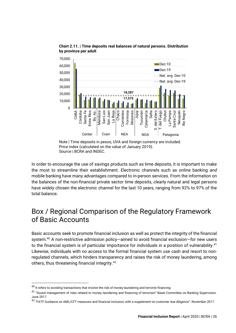

**Chart 2.11. | Time deposits real balances of natural persons. Distribution by province per adult** 

In order to encourage the use of savings products such as time deposits, it is important to make the most to streamline their establishment. Electronic channels such as online banking *and* mobile banking have many advantages compared to in-person services. From the information on the balances of the non-financial private sector time deposits, clearly natural and legal persons have widely chosen the electronic channel for the last 10 years, ranging from 92% to 97% of the total balance.

### <span id="page-26-0"></span>Box / Regional Comparison of the Regulatory Framework of Basic Accounts

Basic accounts seek to promote financial inclusion as well as protect the integrity of the financial system.<sup>40</sup> A non-restrictive admission policy—aimed to avoid financial exclusion—for new users to the financial system is of particular importance for individuals in a position of vulnerability.<sup>41</sup> Likewise, individuals with no access to the formal financial system use cash and resort to nonregulated channels, which hinders transparency and raises the risk of money laundering, among others, thus threatening financial integrity.<sup>42</sup>

Note | Time deposits in pesos, UVA and foreign currency are included. Price index (calculated on the value of January 2019). Source | BCRA and INDEC.

 $^{40}$  It refers to avoiding transactions that involve the risk of money laundering and terrorist financing.

<sup>41</sup> "Sound management of risks related to money laundering and financing of terrorism" Basel Committee on Banking Supervision. June 2017.

<sup>42</sup> "FATF Guidance on AML/CFT measures and financial inclusion, with a supplement on customer due diligence". November 2017.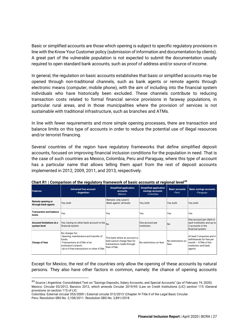Basic or simplified accounts are those which opening is subject to specific regulatory provisions in line with the Know Your Customer policy (submission of information and documentation by clients). A great part of the vulnerable population is not expected to submit the documentation usually required to open standard bank accounts, such as proof of address and/or source of income.

In general, the regulation on basic accounts establishes that basic or simplified accounts may be opened through non-traditional channels, such as bank agents or remote agents through electronic means (computer, mobile phone), with the aim of including into the financial system individuals who have historically been excluded. These channels contribute to reducing transaction costs related to formal financial service provisions in faraway populations, in particular rural areas, and in those municipalities where the provision of services is not sustainable with traditional infrastructure, such as branches and ATMs.

In line with fewer requirements and more simple opening processes, there are transaction and balance limits on this type of accounts in order to reduce the potential use of illegal resources and/or terrorist financing.

Several countries of the region have regulatory frameworks that define simplified deposit accounts, focused on improving financial inclusion conditions for the population in need. That is the case of such countries as Mexico, Colombia, Peru and Paraguay, where this type of account has a particular name that allows telling them apart from the rest of deposit accounts implemented in 2012, 2009, 2011, and 2013, respectively.

|                                          | <u>Unarely Companyon of the regulatory namework or basic accounts at regional lever</u>                                                                                 |                                                                                                        |                                 |                                             |                                                                                                                 |
|------------------------------------------|-------------------------------------------------------------------------------------------------------------------------------------------------------------------------|--------------------------------------------------------------------------------------------------------|---------------------------------|---------------------------------------------|-----------------------------------------------------------------------------------------------------------------|
| <b>Features</b>                          | <b>Universal free account</b><br>-Argentina-                                                                                                                            | <b>Simplified application</b><br>savings accounts<br>-Colombia-                                        | <b>Basic accounts</b><br>-Perú- | <b>Basic savings accounts</b><br>-Paraguay- |                                                                                                                 |
| Remote opening or<br>through bank agents | Yes, both                                                                                                                                                               | Remote: only Level II.<br>Bank agents: all levels                                                      | Yes, both                       | Yes, both                                   | Yes, both                                                                                                       |
| <b>Transaction and balance</b><br>limits | Yes                                                                                                                                                                     | Yes                                                                                                    | Yes                             | Yes                                         | Yes                                                                                                             |
| Account limitations at a<br>system level | Yes, having no other bank account in the $\vert_{\rm No}$<br>financial system                                                                                           |                                                                                                        | One account per<br>linstitution | No                                          | One account per client in<br>each institution and up to<br>2 accounts in the<br>financial system                |
| <b>Charge of fees</b>                    | No charges for:<br>-Opening, maintenance and transfer of<br>funds.<br>-Transactions at ATMs of an<br>institution's branch.<br>-Up to 8 free transactions in other ATMs. | The bank where an account is<br>held cannot charge fees for<br>transactions made through<br>their ATMs | No restrictions on fees         | No restrictions on<br>fees                  | At least 2 enquiries and 4<br>withdrawals for free per<br>month - ATMs of the<br>institution and bank<br>agents |

**Chart R1 | Comparison of the regulatory framework of basic accounts at regional level<sup>43</sup>**

Except for Mexico, the rest of the countries only allow the opening of these accounts by natural persons. They also have other factors in common, namely: the chance of opening accounts

Peru: Resolution SBS No. 2,108/2011. Resolution SBS No. 2,891/2018.

<sup>43</sup> Source | Argentina: Consolidated Text on "Savings Deposits, Salary Accounts, and Special Accounts" (as of February 19, 2020). Mexico: Circular 03/2012, Banxico 2012, which amends Circular 2019/95 \Law on Credit Institutions (LIC) section 115 \General provisions on section 115 of LIC.

Colombia: External circular 053/2009 \ External circular 013/2013 \Chapter IV-Title II of the Legal Basic Circular.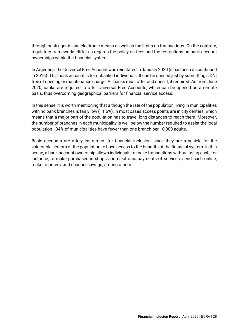through bank agents and electronic means as well as the limits on transactions. On the contrary, regulatory frameworks differ as regards the policy on fees and the restrictions on bank account ownerships within the financial system.

In Argentina, the Universal Free Account was reinstated in January 2020 (it had been discontinued in 2016). This bank account is for unbanked individuals. It can be opened just by submitting a DNI free of opening or maintenance charge. All banks must offer and open it, if required. As from June 2020, banks are required to offer Universal Free Accounts, which can be opened on a remote basis, thus overcoming geographical barriers for financial service access.

In this sense, it is worth mentioning that although the rate of the population living in municipalities with no bank branches is fairly low (11.6%), in most cases access points are in city centers, which means that a major part of the population has to travel long distances to reach them. Moreover, the number of branches in each municipality is well below the number required to assist the local population—34% of municipalities have fewer than one branch per 10,000 adults.

Basic accounts are a key instrument for financial inclusion, since they are a vehicle for the vulnerable sectors of the population to have access to the benefits of the financial system. In this sense, a bank account ownership allows individuals to make transactions without using cash, for instance, to make purchases in shops and electronic payments of services; send cash online; make transfers; and channel savings, among others.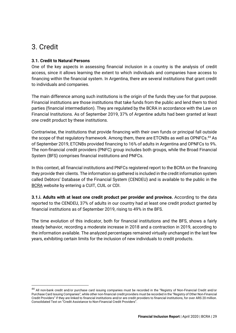### <span id="page-29-0"></span>3. Credit

### <span id="page-29-1"></span>**3.1. Credit to Natural Persons**

One of the key aspects in assessing financial inclusion in a country is the analysis of credit access, since it allows learning the extent to which individuals and companies have access to financing within the financial system. In Argentina, there are several institutions that grant credit to individuals and companies.

The main difference among such institutions is the origin of the funds they use for that purpose. Financial institutions are those institutions that take funds from the public and lend them to third parties (financial intermediation). They are regulated by the BCRA in accordance with the Law on Financial Institutions. As of September 2019, 37% of Argentine adults had been granted at least one credit product by these institutions.

Contrariwise, the institutions that provide financing with their own funds or principal fall outside the scope of that regulatory framework. Among them, there are ETCNBs as well as OPNFCs.<sup>44</sup> As of September 2019, ETCNBs provided financing to 16% of adults in Argentina and OPNFCs to 9%. The non-financial credit providers (PNFC) group includes both groups, while the Broad Financial System (BFS) comprises financial institutions and PNFCs.

In this context, all financial institutions and PNFCs registered report to the BCRA on the financing they provide their clients. The information so gathered is included in the credit information system called Debtors' Database of the Financial System (CENDEU) and is available to the public in the **[BCRA](http://www.bcra.gov.ar/BCRAyVos/Situacion_Crediticia.asp)** website by entering a CUIT, CUIL or CDI.

**3.1.i. Adults with at least one credit product per provider and province.** According to the data reported to the CENDEU, 37% of adults in our country had at least one credit product granted by financial institutions as of September 2019, rising to 49% in the BFS.

The time evolution of this indicator, both for financial institutions and the BFS, shows a fairly steady behavior, recording a moderate increase in 2018 and a contraction in 2019, according to the information available. The analyzed percentages remained virtually unchanged in the last few years, exhibiting certain limits for the inclusion of new individuals to credit products.

<sup>&</sup>lt;sup>44</sup> All non-bank credit and/or purchase card issuing companies must be recorded in the "Registry of Non-Financial Credit and/or Purchase Card Issuing Companies", while other non-financial credit providers must be recorded in the "Registry of Other Non-Financial Credit Providers" if they are linked to financial institutions and/or are credit providers to financial institutions, for over ARS 20 million. Consolidat[ed Text on "Credit Assistance to Non](http://www.bcra.gov.ar/Pdfs/Texord/t-apnf.pdf)-Financial Credit Providers".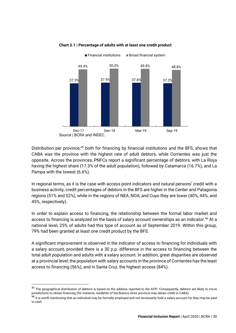

#### **Chart 3.1 | Percentage of adults with at least one credit product**

Distribution per province,<sup>45</sup> both for financing by financial institutions and the BFS, shows that CABA was the province with the highest rate of adult debtors, while Corrientes was just the opposite. Across the provinces, PNFCs report a significant percentage of debtors, with La Rioja having the highest share (17.3% of the adult population), followed by Catamarca (16.7%), and La Pampa with the lowest (6.6%).

In regional terms, as it is the case with access point indicators and natural persons' credit with a business activity, credit percentages of debtors in the BFS are higher in the Center and Patagonia regions (51% and 52%), while in the regions of NEA, NOA, and Cuyo they are lower (40%, 44%, and 45%, respectively).

In order to explain access to financing, the relationship between the formal labor market and access to financing is analyzed on the basis of salary account ownerships as an indicator.<sup>46</sup> At a national level, 25% of adults had this type of account as of September 2019. Within this group, 79% had been granted at least one credit product by the BFS.

A significant improvement is observed in the indicator of access to financing for individuals with a salary account, provided there is a 30 p.p. difference in the access to financing between the total adult population and adults with a salary account. In addition, great disparities are observed at a provincial level; the population with salary accounts in the province of Corrientes has the least access to financing (56%), and in Santa Cruz, the highest access (84%).

<sup>&</sup>lt;sup>45</sup> The geographical distribution of debtors is based on the address reported to the AFIP. Consequently, debtors are likely to move jurisdictions to obtain financing (for instance, residents of the Buenos Aires province may obtain credit in CABA).

 $^{46}$  It is worth mentioning that an individual may be formally employed and not necessarily hold a salary account for they may be paid in cash.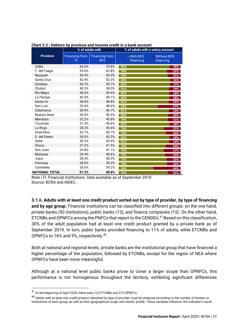|                       | % of adults with            |                                     |                                      | % of adults with a salary account |
|-----------------------|-----------------------------|-------------------------------------|--------------------------------------|-----------------------------------|
| <b>Province</b>       | <b>Financing from</b><br>FI | <b>Financing from</b><br><b>BFS</b> | $\blacksquare$ With BFS<br>financing | $\Box$ Without BFS<br>financing   |
| CABA                  | 69.6%                       | 79.8%                               | 82%                                  | 18%                               |
| T. del Fuego          | 53.0%                       | 62.8%                               | 78%                                  | 22%                               |
| Neuquén               | 43.9%                       | 54.3%                               | 79%                                  | 21%                               |
| Santa Cruz            | 42.9%                       | 53.3%                               | 84%                                  | 16%                               |
| Córdoba               | 36.7%                       | 50.7%                               | 83%                                  | 17%                               |
| Chubut                | 40.2%                       | 50.0%                               | 81%                                  | 19%                               |
| Río Negro             | 38.5%                       | 49.4%                               | 82%                                  | 18%                               |
| La Pampa              | 42.5%                       | 49.1%                               | 82%                                  | 18%                               |
| Santa Fe              | 38.8%                       | 48.8%                               | 81%                                  | 19%                               |
| San Luis              | 33.4%                       | 48.6%                               | 63%                                  | 37%                               |
| Catamarca             | 30.0%                       | 46.7%                               | 81%                                  | 19%                               |
| <b>Buenos Aires</b>   | 36.0%                       | 46.5%                               | 80%                                  | 20%                               |
| Mendoza               | 32.2%                       | 45.8%                               | 79%                                  | 21%                               |
| Tucumán               | 31.3%                       | 45.6%                               | 82%                                  | 18%                               |
| La Rioja              | 28.2%                       | 45.6%                               | 73%                                  | 27%                               |
| Entre Ríos            | 32.7%                       | 43.7%                               | 76%                                  | 24%                               |
| S. del Estero         | 34.0%                       | 43.3%                               | 82%                                  | 18%                               |
| Salta                 | 30.2%                       | 42.4%                               | 81%                                  | 19%                               |
| Chaco                 | 27.2%                       | 41.5%                               | 76%                                  | 24%                               |
| San Juan              | 26.8%                       | 41.1%                               | 73%                                  | 27%                               |
| <b>Misiones</b>       | 29.4%                       | 40.6%                               | 75%                                  | 25%                               |
| Jujuy                 | 28.5%                       | 40.3%                               | 77%                                  | 23%                               |
| Formosa               | 28.6%                       | 39.3%                               | 78%                                  | 22%                               |
| Corrientes            | 26.0%                       | 39.2%                               | 56%                                  | 44%                               |
| <b>NATIONAL TOTAL</b> | 37.3%                       | 48.8%                               | 79%                                  | 21%                               |

**Chart 3.2 | Debtors by province and income credit in a bank account**

Note | FI: Financial Institutions. Data available as of September 2019. Source: BCRA and INDEC.

**3.1.ii. Adults with at least one credit product sorted out by type of provider, by type of financing and by age group.** Financial institutions can be classified into different groups: on the one hand, *private banks (50 institutions), public banks (13), and finance companies (15)*. On the other hand, ETCNBs and OPNFCs among the PNFCs that report to the CENDEU. <sup>47</sup> Based on this classification, 30% of the adult population had at least one credit product granted by a private bank as of September 2019. In turn, public banks provided financing to 11% of adults, while ETCNBs and OPNFCs to 16% and 9%, respectively.<sup>48</sup>

Both at national and regional levels, private banks are the institutional group that have financed a higher percentage of the population, followed by ETCNBs, except for the region of NEA where OPNFCs have been more meaningful.

Although at a national level public banks prove to cover a larger scope than OPNFCs, this performance is not homogenous throughout the territory, exhibiting significant differences

<sup>47</sup> At the beginning of April 2020, there were 122 ETCNBs and 272 OPNFCs.

<sup>48</sup> Adults with at least one credit product classified by type of provider must be analyzed according to the number of entities or institutions of each group, as well as their geographical scope and clients' profile. These variables influence the indicator's result.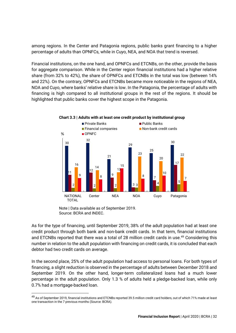among regions. In the Center and Patagonia regions, public banks grant financing to a higher percentage of adults than OPNFCs, while in Cuyo, NEA, and NOA that trend is reversed.

Financial institutions, on the one hand, and OPNFCs and ETCNBs, on the other, provide the basis for aggregate comparison. While in the Center region financial institutions had a higher relative share (from 32% to 42%), the share of OPNFCs and ETCNBs in the total was low (between 14% and 22%). On the contrary, OPNFCs and ETCNBs became more noticeable in the regions of NEA, NOA and Cuyo, where banks' relative share is low. In the Patagonia, the percentage of adults with financing is high compared to all institutional groups in the rest of the regions. It should be highlighted that public banks cover the highest scope in the Patagonia.



**Chart 3.3 | Adults with at least one credit product by institutional group** 

As for the type of financing, until September 2019, 38% of the adult population had at least one credit product through both bank and non-bank credit cards. In that term, financial institutions and ETCNBs reported that there was a total of 28 million credit cards in use.<sup>49</sup> Considering this number in relation to the adult population with financing on credit cards, it is concluded that each debtor had two credit cards on average.

In the second place, 25% of the adult population had access to personal loans. For both types of financing, a slight reduction is observed in the percentage of adults between December 2018 and September 2019. On the other hand, longer-term collateralized loans had a much lower percentage in the adult population. Only 1.3 % of adults held a pledge-backed loan, while only 0.7% had a mortgage-backed loan.

Note | Data available as of September 2019. Source: BCRA and INDEC.

<sup>&</sup>lt;sup>49</sup> As of September 2019, financial institutions and ETCNBs reported 39.5 million credit card holders, out of which 71% made at least one transaction in the 7 previous months (Source: BCRA).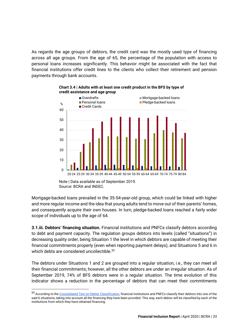As regards the age groups of debtors, the credit card was the mostly used type of financing across all age groups. From the age of 65, the percentage of the population with access to personal loans increases significantly. This behavior might be associated with the fact that financial institutions offer credit lines to the clients who collect their retirement and pension payments through bank accounts.



**Chart 3.4 | Adults with at least one credit product in the BFS by type of credit assistance and age group**

Mortgage-backed loans prevailed in the 35-54-year-old group, which could be linked with higher and more regular income and the idea that young adults tend to move out of their parents' homes, and consequently acquire their own houses. In turn, pledge-backed loans reached a fairly wider scope of individuals up to the age of 64.

**3.1.iii. Debtors' financing situation.** Financial institutions and PNFCs classify debtors according to debt and payment capacity. The regulation groups debtors into levels (called "situations") in decreasing quality order, being Situation 1 the level in which debtors are capable of meeting their financial commitments properly (even when reporting payment delays), and Situations 5 and 6 in which debts are considered uncollectible.<sup>50</sup>

The debtors under Situations 1 and 2 are grouped into a regular situation, i.e., they can meet all their financial commitments; however, all the other debtors are under an irregular situation. As of September 2019, 74% of BFS debtors were in a regular situation. The time evolution of this indicator shows a reduction in the percentage of debtors that can meet their commitments

Note | Data available as of September 2019. Source: BCRA and INDEC.

<sup>50</sup> According to the [Consolidated Text on Debtor Classification,](https://www.bcra.gob.ar/Pdfs/Texord/t-cladeu.pdf) financial institutions and PNFCs classify their debtors into one of the said 6 situations, taking into account all the financing they have been provided. This way, each debtor will be classified by each of the institutions from which they have obtained financing.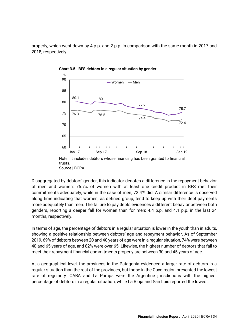properly, which went down by 4 p.p. and 2 p.p. in comparison with the same month in 2017 and 2018, respectively.



**Chart 3.5 | BFS debtors in a regular situation by gender**

Disaggregated by debtors' gender, this indicator denotes a difference in the repayment behavior of men and women: 75.7% of women with at least one credit product in BFS met their commitments adequately, while in the case of men, 72.4% did. A similar difference is observed along time indicating that women, as defined group, tend to keep up with their debt payments more adequately than men. The failure to pay debts evidences a different behavior between both genders, reporting a deeper fall for women than for men: 4.4 p.p. and 4.1 p.p. in the last 24 months, respectively.

In terms of age, the percentage of debtors in a regular situation is lower in the youth than in adults, showing a positive relationship between debtors' age and repayment behavior. As of September 2019, 69% of debtors between 20 and 40 years of age were in a regular situation, 74% were between 40 and 65 years of age, and 82% were over 65. Likewise, the highest number of debtors that fail to meet their repayment financial commitments properly are between 30 and 45 years of age.

At a geographical level, the provinces in the Patagonia evidenced a larger rate of debtors in a regular situation than the rest of the provinces, but those in the Cuyo region presented the lowest rate of regularity. CABA and La Pampa were the Argentine jurisdictions with the highest percentage of debtors in a regular situation, while La Rioja and San Luis reported the lowest.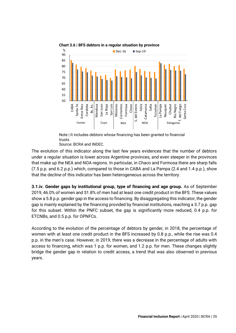

**Chart 3.6 | BFS debtors in a regular situation by province**

Note | It includes debtors whose financing has been granted to financial trusts.

Source: BCRA and INDEC.

The evolution of this indicator along the last few years evidences that the number of debtors under a regular situation is lower across Argentine provinces, and even steeper in the provinces that make up the NEA and NOA regions. In particular, in Chaco and Formosa there are sharp falls (7.5 p.p. and 6.2 p.p.) which, compared to those in CABA and La Pampa (2.4 and 1.4 p.p.), show that the decline of this indicator has been heterogeneous across the territory.

**3.1.iv. Gender gaps by institutional group, type of financing and age group.** As of September 2019, 46.0% of women and 51.8% of men had at least one credit product in the BFS. These values show a 5.8 p.p. gender gap in the access to financing. By disaggregating this indicator, the gender gap is mainly explained by the financing provided by financial institutions, reaching a 3.7 p.p. gap for this subset. Within the PNFC subset, the gap is significantly more reduced, 0.4 p.p. for ETCNBs, and 0.5 p.p. for OPNFCs.

According to the evolution of the percentage of debtors by gender, in 2018, the percentage of women with at least one credit product in the BFS increased by 0.8 p.p., while the rise was 0.4 p.p. in the men's case. However, in 2019, there was a decrease in the percentage of adults with access to financing, which was 1 p.p. for women, and 1.2 p.p. for men. These changes slightly bridge the gender gap in relation to credit access, a trend that was also observed in previous years.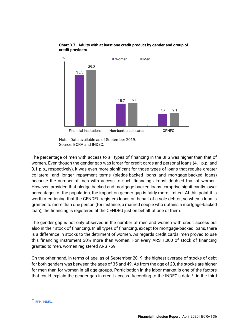

#### **Chart 3.7 | Adults with at least one credit product by gender and group of credit providers**

The percentage of men with access to all types of financing in the BFS was higher than that of women. Even though the gender gap was larger for credit cards and personal loans (4.1 p.p. and 3.1 p.p., respectively), it was even more significant for those types of loans that require greater collateral and longer repayment terms (pledge-backed loans and mortgage-backed loans) because the number of men with access to such financing almost doubled that of women. However, provided that pledge-backed and mortgage-backed loans comprise significantly lower percentages of the population, the impact on gender gap is fairly more limited. At this point it is worth mentioning that the CENDEU registers loans on behalf of a sole debtor, so when a loan is granted to more than one person (for instance, a married couple who obtains a mortgage-backed loan), the financing is registered at the CENDEU just on behalf of one of them.

The gender gap is not only observed in the number of men and women with credit access but also in their stock of financing. In all types of financing, except for mortgage-backed loans, there is a difference in stocks to the detriment of women. As regards credit cards, men proved to use this financing instrument 30% more than women. For every ARS 1,000 of stock of financing granted to men, women registered ARS 769.

On the other hand, in terms of age, as of September 2019, the highest average of stocks of debt for both genders was between the ages of 35 and 49. As from the age of 20, the stocks are higher for men than for women in all age groups. Participation in the labor market is one of the factors that could explain the gender gap in credit access. According to the INDEC's data,<sup>51</sup> in the third

Note | Data available as of September 2019. Source: BCRA and INDEC.

<sup>51</sup> [EPH, INDEC.](https://www.indec.gob.ar/uploads/informesdeprensa/mercado_trabajo_eph_3trim19BCC9AAAD16.pdf)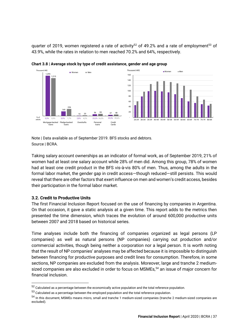quarter of 2019, women registered a rate of activity<sup>52</sup> of 49.2% and a rate of employment<sup>53</sup> of 43.9%, while the rates in relation to men reached 70.2% and 64%, respectively.



**Chart 3.8 | Average stock by type of credit assistance, gender and age group**

Note | Data available as of September 2019. BFS stocks and debtors. Source | BCRA.

Taking salary account ownerships as an indicator of formal work, as of September 2019, 21% of women had at least one salary account while 28% of men did. Among this group, 78% of women had at least one credit product in the BFS vis-à-vis 80% of men. Thus, among the adults in the formal labor market, the gender gap in credit access—though reduced—still persists. This would reveal that there are other factors that exert influence on men and women's credit access, besides their participation in the formal labor market.

### <span id="page-37-0"></span>**3.2. Credit to Productive Units**

The first Financial Inclusion Report focused on the use of financing by companies in Argentina. On that occasion, it gave a static analysis at a given time. This report adds to the metrics then presented the time dimension, which traces the evolution of around 600,000 productive units between 2007 and 2018 based on historical series.

Time analyses include both the financing of companies organized as legal persons (LP companies) as well as natural persons (NP companies) carrying out production and/or commercial activities, though being neither a corporation nor a legal person. It is worth noting that the result of NP companies' analyses may be affected because it is impossible to distinguish between financing for productive purposes and credit lines for consumption. Therefore, in some sections, NP companies are excluded from the analysis. Moreover, large and tranche 2 mediumsized companies are also excluded in order to focus on MSMEs,<sup>54</sup> an issue of major concern for financial inclusion.

 $52$  Calculated as a percentage between the economically active population and the total reference population.

 $53$  Calculated as a percentage between the employed population and the total reference population.

<sup>54</sup> In this document, MSMEs means micro, small and tranche 1 medium-sized companies (tranche 2 medium-sized companies are excluded).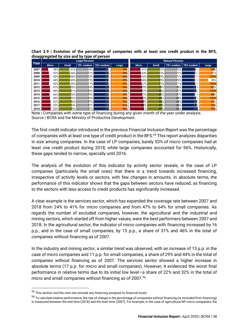|      |              |              | <b>Legal Persons</b> |                 |       |                    |              | <b>Natural Persons</b> |            |       |
|------|--------------|--------------|----------------------|-----------------|-------|--------------------|--------------|------------------------|------------|-------|
| Year | <b>Micro</b> | <b>Small</b> | TR1 medium           | TR2 medium      | Large | <b>Micro</b>       | <b>Small</b> | TR1 medium             | TR2 medium | Large |
| 2007 | 38%          | 61%          | 69%                  | 86              | 94%   | 61%                | $72\%$       | 72%                    | 78%.       | 89%   |
| 2008 | 42%          | 64%          | $71\%$               | $88^\circ$      | 96%   | 64%                | $73\%$       | 71%                    | 6%         | 77%   |
| 2009 | 45%          | 66%          | 72%                  | 87'             | 96%   | 65%                | 74% l        | 71%                    | 5%         | 100%  |
| 2010 | 44%          | 65%          | 72%                  | 87              | 95%   | 66%                | <b>15%</b>   | <b>73%</b>             | 15%        | 50%   |
| 2011 | 43%          | 65%          | 71%                  | 87              | 94%   | 67%                | 75% l        | 71%                    | 6%         | 100%  |
| 2012 | 47%          | 70%          | 74%                  | 89 <sup>o</sup> | 96%   | 70%                | 79%l         | 78%                    | 81%        | 83%   |
| 2013 | 48%          | 71%          | 75%                  | 899             | 96%   | 72%                | 80%          | 77%                    | 84%        | 100%  |
| 2014 | 46%          | 70%          | 74%                  | $88^\circ$      | 95%   | 72%                | 80%          | 77%                    | 15%        | 88%   |
| 2015 | 49%          | $72\%$       | <b>75%L</b>          | 89 <sup>o</sup> | 96%   | $7\%$              | 83%          | 80%                    | 82%        | 100%  |
| 2016 | 52%          | 4%           | 77%                  | 90              | 96%   | $\nabla$ %         | 86%          | 83%                    | 86         | 87%   |
| 2017 | 53%          | 74%          | 77%                  | 89%             | 96%   | 80%                | 87%          | 84%                    | 87%        | 92%   |
| 2018 | 53%          | 5%           | 77%                  | 899             | 96%   | O<br>$\frac{9}{6}$ | 87%          | 84%                    | 92%        | 92%   |

**Chart 3.9 | Evolution of the percentage of companies with at least one credit product in the BFS, disaggregated by size and by type of person**

Note | Companies with some type of financing during any given month of the year under analysis. Source | BCRA and the Ministry of Productive Development.

The first credit indicator introduced in the previous Financial Inclusion Report was the percentage of companies with at least one type of credit product in the BFS.<sup>55</sup> This report analyzes disparities in size among companies. In the case of LP companies, barely 53% of micro companies had at least one credit product during 2018, while large companies accounted for 96%. Historically, these gaps tended to narrow, specially until 2016.

The analysis of the evolution of this indicator by activity sector reveals, in the case of LP companies (particularly the small ones) that there is a trend towards increased financing, irrespective of activity levels or sectors, with few changes in amounts. In absolute terms, the performance of this indicator shows that the gaps between sectors have reduced, as financing to the sectors with less access to credit products has significantly increased.

A clear example is the services sector, which has expanded the coverage rate between 2007 and 2018 from 24% to 41% for micro companies and from 47% to 64% for small companies. As regards the number of excluded companies, however, the agricultural and the industrial and mining sectors, which started off from higher values, were the best performers between 2007 and 2018. In the agricultural sector, the indicator of micro companies with financing increased by 16 p.p., and in the case of small companies, by 15 p.p., a share of 31% and 46% in the total of companies without financing as of 2007.

In the industry and mining sector, a similar trend was observed, with an increase of 15 p.p. in the case of micro companies and 11 p.p. for small companies, a share of 29% and 44% in the total of companies without financing as of 2007. The services sector showed a higher increase in absolute terms (17 p.p. for micro and small companies). However, it evidenced the worst final performance in relative terms due to its initial low level—a share of 22% and 32% in the total of micro and small companies without financing as of 2007.<sup>56</sup>

 $55$  This section and the next one exclude any financing assigned to financial trusts.

 $^{56}$  To calculate relative performance, the rate of change in the percentage of companies without financing (or excluded from financing) is measured between the end time (2018) and the start time (2007). For example, in the case of agricultural NP micro companies, the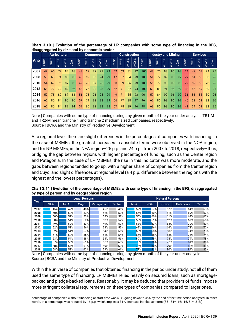| alsaggregated by size and by economic sector |       |       |                                |             |              |       |              |                      |       |              |       |       |                                |                     |              |       |                            |       |       |                 |                 |              |                      |       |      |
|----------------------------------------------|-------|-------|--------------------------------|-------------|--------------|-------|--------------|----------------------|-------|--------------|-------|-------|--------------------------------|---------------------|--------------|-------|----------------------------|-------|-------|-----------------|-----------------|--------------|----------------------|-------|------|
|                                              |       |       | <b>Agricultural</b>            |             |              |       |              | <b>Commerce</b>      |       |              |       |       |                                | <b>Construction</b> |              |       | <b>Industry and Mining</b> |       |       |                 | <b>Services</b> |              |                      |       |      |
| Año                                          | Micro | Small | -<br>공<br>$\overline{\preceq}$ | <b>R2-M</b> | <b>Large</b> | Micro | <b>Small</b> | 절<br>$\dot{\preceq}$ | TR2-M | <b>Large</b> | Micro | Small | 절<br>$\overline{\overline{z}}$ | TR2-M               | <b>Large</b> | Micro | Small                      | TR1-M | TR2-M | ange-           | Micro           | <b>Small</b> | ᅽ<br>$\dot{\preceq}$ | TR2-M | ange |
| 2007                                         | 49    | 65    | 72                             | 84          | 88           | 43    | 67           | 87                   | 91    | 99           | 42    | 63    | 81                             | 92                  | 100          | 48    | 75                         | 88    | 95    | 98              | 24              | 47           | 53                   | 79    | 95   |
| 2008                                         | 53    | 68    | 74                             | 88          | 93           | 46    | 69           | 88                   | 94    | 99           | 47    | 67    | 84                             | 93                  | 100          | 51    | 77                         | 89    | 96    | 97              | 27              | 51           | 55                   | 80    | 96   |
| 2010                                         | 54    | 69    | 76                             | 87          | 96           | 49    | 70           | 87                   | 96    | 99           | 50    | 69    | 86                             | 93                  | 100          | 55    | 79                         | 90    | 95    | 96 <sub>l</sub> | 29              | 52           | 55                   | 78    | 96   |
| 2012                                         | 58    | 72    | 79                             | 89          | 96           | 53    | 75           | 90                   | 98    | -99          | 52    | 71    | 87                             | 94                  | 100          | 59    | 83                         | 91    | 96    | 97              | 32              | 56           | 59                   | 80    | 96   |
| 2014                                         | 59    | 75    | 80                             | 87          | 86           | 51    | 75           | 91                   | 98    | 99           | 49    | 71    | 85                             | 93                  | 96           | 57    | 84                         | 92    | 96    | -99 l           | 31              | 56           | 58                   | 80    | 96   |
| 2016                                         | 65    | 80    | 84                             | 90          | 90           | 57    | 79           | 92                   | 98    | 99           | 56    | 77    | 88                             | 97                  | 96           | 62    | 86                         | 93    | 96    | 99              | 40              | 62           | -61                  | 82    | 96   |
| 2018                                         | 65    | 80    | 84                             | 89          | 91           | 59    | 80           | 92                   | 98    | 98           | 57    | 78    | 89                             | 96                  | 98           | 63    | 86                         | 93    | 96    | 99              | 41              | 64           | 61                   | 82    | 95   |

**Chart 3.10 | Evolution of the percentage of LP companies with some type of financing in the BFS, disaggregated by size and by economic sector**

**Chart 3.11 | Evolution of the percentage of MSMEs with some type of financing in the BFS, disaggregated by type of person and by geographical region**

| Año                                                                                                                                                                                                                                                                                                                                                                                                                                                                                                                                                                                                                                                                                                                                                                    | <b>Micro</b> | Small             | TR1-M      | TR2-M      | <b>Large</b> | <b>Micro</b>         | Small      | TR1-M | TR2-M     | <b>Large</b> | Micro  | <b>Small</b> | TR1-M | TR2-M             | arge       | Micro             | Small | TR1-M                  | TR2-M      | <b>Large</b> | <b>Micro</b> | Small      | TR1-M  | TR2-M      | <b>Large</b> |
|------------------------------------------------------------------------------------------------------------------------------------------------------------------------------------------------------------------------------------------------------------------------------------------------------------------------------------------------------------------------------------------------------------------------------------------------------------------------------------------------------------------------------------------------------------------------------------------------------------------------------------------------------------------------------------------------------------------------------------------------------------------------|--------------|-------------------|------------|------------|--------------|----------------------|------------|-------|-----------|--------------|--------|--------------|-------|-------------------|------------|-------------------|-------|------------------------|------------|--------------|--------------|------------|--------|------------|--------------|
| 2007                                                                                                                                                                                                                                                                                                                                                                                                                                                                                                                                                                                                                                                                                                                                                                   | 49           | 65                | 72         | 84         | 88           | 43                   | 67         | 87    | 91        | 99           | 42     | 63           | 81    | 92                | 100        | 48                | 75    | 88                     | 95         | 98           | 24           | 47         | 53     | 79         |              |
| 2008                                                                                                                                                                                                                                                                                                                                                                                                                                                                                                                                                                                                                                                                                                                                                                   | 53           | 68                | 74         | 88         | 93           | 46                   | 69         | 88    | 94        | 99           | 47     | 67           | 84    | 93                | 100        | 51                | 77    | 89                     | 96         | 97           | 27           | 51         | 55     | 80         |              |
| 2010                                                                                                                                                                                                                                                                                                                                                                                                                                                                                                                                                                                                                                                                                                                                                                   | 54           | 69                | 76         | 87         | 96           | 49                   | 70         | 87    | 96        | 99           | 50     | 69           | 86    | 93                | 100        | 55                | 79    | 90                     | 95         | 96           | 29           | 52         | 55     | 78         |              |
| 2012                                                                                                                                                                                                                                                                                                                                                                                                                                                                                                                                                                                                                                                                                                                                                                   | 58           | 72                | 79         | 89         | 96           | 53                   | 75         | 90    | 98        | 99           | 52     | 71           | 87    | 94                | 100        | 59                | 83    | 91                     | 96         | 97           | 32           | 56         | 59     | 80         |              |
| 2014                                                                                                                                                                                                                                                                                                                                                                                                                                                                                                                                                                                                                                                                                                                                                                   | 59           | 75                | 80         | 87         | 86           | 51                   | 75         | 91    | 98        | 99           | 49     | 71           | 85    | 93                | 96         | 57                | 84    | 92                     | 96         | 99           | 31           | 56         | 58     | 80         |              |
| 2016                                                                                                                                                                                                                                                                                                                                                                                                                                                                                                                                                                                                                                                                                                                                                                   | 65           | 80                | 84         | 90         | 90           | 57                   | 79         | 92    | 98        | 99           | 56     | 77           | 88    | 97                | 96         | 62                | 86    | 93                     | 96         | 99           | 40           | 62         | 61     | 82         |              |
| 2018                                                                                                                                                                                                                                                                                                                                                                                                                                                                                                                                                                                                                                                                                                                                                                   | 65           | 80                | 84         | 89         | 91           | 59                   | 80         | 92    | 98        | 98           | 57     | 78           | 89    | 96                | 98         | 63                | 86    | 93                     | 96         | 99           | 41           | 64         | 61     | 82         |              |
| Source   BCRA and the Ministry of Productive Development.<br>At a regional level, there are slight differences in the percentages of companies with financing.<br>the case of MSMEs, the greatest increases in absolute terms were observed in the NOA regio<br>and for NP MSMEs, in the NEA region-25 p.p. and 24 p.p., from 2007 to 2018, respectively-thu<br>bridging the gap between regions with higher percentage of funding, such as the Center region<br>and Patagonia. In the case of LP MSMEs, the rise in this indicator was more moderate, and th<br>gaps between regions tended to go up, with a higher share of companies from the Center region<br>and Cuyo, and slight differences at regional level (a 4 p.p. difference between the regions with the |              |                   |            |            |              |                      |            |       |           |              |        |              |       |                   |            |                   |       |                        |            |              |              |            |        |            |              |
| highest and the lowest percentages).                                                                                                                                                                                                                                                                                                                                                                                                                                                                                                                                                                                                                                                                                                                                   |              |                   |            |            |              |                      |            |       |           |              |        |              |       |                   |            |                   |       |                        |            |              |              |            |        |            |              |
| Chart 3.11   Evolution of the percentage of MSMEs with some type of financing in the BFS, disaggregate<br>by type of person and by geographical region                                                                                                                                                                                                                                                                                                                                                                                                                                                                                                                                                                                                                 |              |                   |            |            |              |                      |            |       |           |              |        |              |       |                   |            |                   |       |                        |            |              |              |            |        |            |              |
| Year                                                                                                                                                                                                                                                                                                                                                                                                                                                                                                                                                                                                                                                                                                                                                                   |              |                   |            |            |              | <b>Legal Persons</b> |            |       |           |              |        |              |       |                   |            |                   |       | <b>Natural Persons</b> |            |              |              |            |        |            |              |
| 2007                                                                                                                                                                                                                                                                                                                                                                                                                                                                                                                                                                                                                                                                                                                                                                   |              | <b>NEA</b><br>45% |            | <b>NOA</b> | 47%          | Cuyo                 | 48%        |       | Patagonia | 46%          | Center | 46%          |       | <b>NEA</b><br>52% |            | <b>NOA</b><br>57% |       | Cuyo                   | 57%        |              | Patagonia    | 64%        | Center | 63%        |              |
| 2008                                                                                                                                                                                                                                                                                                                                                                                                                                                                                                                                                                                                                                                                                                                                                                   |              | 50%               |            |            | 52%          |                      | 53%        |       |           | 52%          |        | 52%          |       | 55%               |            | 60%               |       |                        | 61%        |              |              | 69%        |        | 67%        |              |
| 2009                                                                                                                                                                                                                                                                                                                                                                                                                                                                                                                                                                                                                                                                                                                                                                   |              |                   | 50%        |            | 52%          |                      | 53%        |       |           | 52%          |        | 52%          |       | 55%               |            | 60%               |       |                        | 61%        |              |              | 69%        |        | 67%        |              |
| 2010<br>2011                                                                                                                                                                                                                                                                                                                                                                                                                                                                                                                                                                                                                                                                                                                                                           |              | 50%<br>49%        |            |            | 51%<br>50%   |                      | 52%<br>53% |       |           | 52%<br>49%   |        | 52%<br>50%   |       | 58%               | 58%        | 61%<br>63%        |       |                        | 62%<br>63% |              |              | 69%<br>70% |        | 68%<br>69% |              |
| 2012                                                                                                                                                                                                                                                                                                                                                                                                                                                                                                                                                                                                                                                                                                                                                                   |              | 52%               |            |            | 53%          |                      | 56%        |       |           | 53%          |        | 55%          |       | 62%               |            | 66%               |       |                        | 66%        |              |              | 73%        |        | 72%        |              |
| 2013                                                                                                                                                                                                                                                                                                                                                                                                                                                                                                                                                                                                                                                                                                                                                                   |              | 52%               |            |            | 54%          |                      | 57%        |       |           | 54%          |        | 56%          |       | 65%               |            | 68%               |       |                        | 68%        |              |              | 74%        |        | 73%        |              |
| 2014                                                                                                                                                                                                                                                                                                                                                                                                                                                                                                                                                                                                                                                                                                                                                                   |              |                   | 51%        |            | 52%          |                      | 55%        |       |           | 51%          |        | 54%          |       |                   | 65%        | 68%               |       |                        | 68%        |              |              | 74%        |        | 74%        |              |
| 2015                                                                                                                                                                                                                                                                                                                                                                                                                                                                                                                                                                                                                                                                                                                                                                   |              |                   | 53%        |            | 54%          |                      | 58%        |       |           | 54%          |        | 56%          |       | 69%               |            | 76%               |       |                        | 75%        |              |              | 79%        |        | 78%        |              |
| 2016<br>2017                                                                                                                                                                                                                                                                                                                                                                                                                                                                                                                                                                                                                                                                                                                                                           |              |                   | 57%<br>58% |            | 56%<br>57%   |                      | 61%<br>61% |       |           | 57%<br>59%   |        | 60%<br>60%   |       |                   | 73%<br>75% | 78%<br>80%        |       |                        | 77%<br>79% |              |              | 81%<br>83% |        | 80%<br>81% |              |
| 2018                                                                                                                                                                                                                                                                                                                                                                                                                                                                                                                                                                                                                                                                                                                                                                   |              | 58%               |            |            | 58%          |                      | 62%        |       |           | 59%          |        | 61%          |       | 77%               |            | 81%               |       |                        | 80%        |              |              | 84%        |        | 82%        |              |
| Note   Companies with some type of financing during any given month of the year under analysis.<br>Source   BCRA and the Ministry of Productive Development.<br>Within the universe of companies that obtained financing in the period under study, not all of the<br>used the same type of financing. LP MSMEs relied heavily on secured loans, such as mortgag<br>backed and pledge-backed loans. Reasonably, it may be deduced that providers of funds impos<br>more stringent collateral requirements on these types of companies compared to larger ones.                                                                                                                                                                                                         |              |                   |            |            |              |                      |            |       |           |              |        |              |       |                   |            |                   |       |                        |            |              |              |            |        |            |              |

percentage of companies without financing at start time was 51%, going down to 35% by the end of the time period analyzed. In other words, this percentage was reduced by 16 p.p. which implies a 31% decrease in relative ter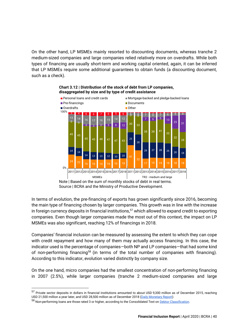On the other hand, LP MSMEs mainly resorted to discounting documents, whereas tranche 2 medium-sized companies and large companies relied relatively more on overdrafts. While both types of financing are usually short-term and working capital oriented, again, it can be inferred that LP MSMEs require some additional guarantees to obtain funds (a discounting document, such as a check).





In terms of evolution, the pre-financing of exports has grown significantly since 2016, becoming the main type of financing chosen by larger companies. This growth was in line with the increase in foreign currency deposits in financial institutions,<sup>57</sup> which allowed to expand credit to exporting companies. Even though larger companies made the most out of this context, the impact on LP MSMEs was also significant, reaching 12% of financings in 2018.

Companies' financial inclusion can be measured by assessing the extent to which they can cope with credit repayment and how many of them may actually access financing. In this case, the indicator used is the percentage of companies—both NP and LP companies—that had some kind of non-performing financing<sup>58</sup> (in terms of the total number of companies with financing). According to this indicator, evolution varied distinctly by company size.

On the one hand, micro companies had the smallest concentration of non-performing financing in 2007 (2.5%), while larger companies (tranche 2 medium-sized companies and large

<sup>57</sup> Private sector deposits in dollars in financial institutions amounted to about USD 9,300 million as of December 2015, reaching USD 21,500 million a year later, and USD 28,500 million as of December 2018 [\(Daily Monetary Report\)](http://www.bcra.gov.ar/PublicacionesEstadisticas/Informe_monetario_diario.asp).

<sup>58</sup> Non-performing loans are those rated 3 or higher, according to the Consolidated Text o[n Debtor Classification.](http://www.bcra.gov.ar/Pdfs/Texord/t-cladeu.pdf)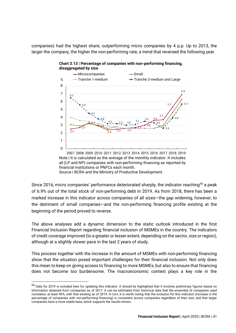companies) had the highest share, outperforming micro companies by 4 p.p. Up to 2013, the larger the company, the higher the non-performing rate, a trend that reversed the following year.



![](_page_41_Figure_2.jpeg)

Source | BCRA and the Ministry of Productive Development.

Since 2016, micro companies' performance deteriorated sharply, the indicator reaching<sup>59</sup> a peak of 6.9% out of the total stock of non-performing debt in 2019. As from 2018, there has been a marked increase in this indicator across companies of all sizes—the gap widening, however, to the detriment of small companies—and the non-performing financing profile existing at the beginning of the period proved to reverse.

The above analyses add a dynamic dimension to the static outlook introduced in the first Financial Inclusion Report regarding financial inclusion of MSMEs in the country. The indicators of credit coverage improved (to a greater or lesser extent, depending on the sector, size or region), although at a slightly slower pace in the last 2 years of study.

This process together with the increase in the amount of MSMEs with non-performing financing show that the situation posed important challenges for their financial inclusion. Not only does this mean to keep on giving access to financing to more MSMEs, but also to ensure that financing does not become too burdensome. The macroeconomic context plays a key role in the

<sup>59</sup> Data for 2019 is included here for updating this indicator. It should be highlighted that it involves preliminary figures based on information obtained from companies as of 2017. It can be estimated from historical data that the ensemble of companies used correlates, at least 90%, with that existing as of 2019. In turn, it is worth noting that the evolution for this indicator (increase in the percentage of companies with non-performing financing) is consistent across companies regardless of their size, and that larger companies have a more stable base, which supports the results shown.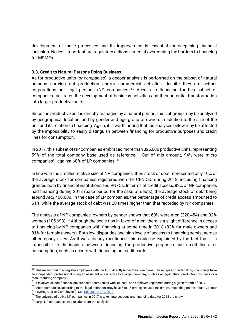development of these processes and its improvement is essential for deepening financial inclusion. No less important are regulatory actions aimed at overcoming the barriers to financing for MSMEs.

### <span id="page-42-0"></span>**3.3. Credit to Natural Persons Doing Business**

As for productive units (*or companies*), a deeper analysis is performed on the subset of natural persons carrying out production and/or commercial activities, despite they are neither corporations nor legal persons (NP companies).<sup>60</sup> Access to financing for this subset of companies facilitates the development of business activities and their potential transformation into larger productive units.

Since the productive unit is directly managed by a natural person, this subgroup may be analyzed by geographical location, and by gender and age group of owners in addition to the size of the unit and its relation to financing. Again, it is worth noting that the analyses below may be affected by the impossibility to easily distinguish between financing for productive purposes and credit lines for consumption.

In 2017, this subset of NP companies embraced more than 326,000 productive units, representing 59% of the total company base used as reference.<sup>61</sup> Out of this amount, 94% were micro companies $62$  against 68% of LP companies. $63$ 

In line with the smaller relative size of NP companies, their stock of debt represented only 10% of the average stock for companies registered with the CENDEU during 2018, including financing granted both by financial institutions and PNFCs. In terms of credit access, 82% of NP companies had financing during 2018 (base period for the sake of debts), the average stock of debt being around ARS 400.000. In the case of LP companies, the percentage of credit access amounted to 61%, while the average stock of debt was 20 times higher than that recorded by NP companies.

The analysis of NP companies' owners by gender shows that 68% were men (220,454) and 32% women (105,693).<sup>64</sup> Although the scale tips in favor of men, there is a slight difference in access to financing by NP companies with financing at some time in 2018 (82% for male owners and 81% for female owners). Both low disparities and high levels of access to financing persist across all company sizes. As it was already mentioned, this could be explained by the fact that it is impossible to distinguish between financing for productive purposes and credit lines for consumption, such as occurs with financing on credit cards.

 $^{60}$  This means that thev register employees with the AFIP directly under their own name. These types of undertakings can range from an independent professional hiring an assistant or secretary to a larger company, such as an agricultural production business or a manufacturing company.

 $61$  It involves all non-financial private sector companies with, at least, one employee registered during a given month of 2017.

 $62$  Micro companies, according to the legal definition, may have 5 to 15 employees as a maximum, depending on the industry sector (on average, up to 9 employees). Se[e Resolution 220/2019.](http://servicios.infoleg.gob.ar/infolegInternet/anexos/320000-324999/322102/norma.htm)

 $63$  The universe of active NP companies in 2017 is taken into account, and financing data for 2018 are shown.

 $64$  Large NP companies are excluded from the analysis.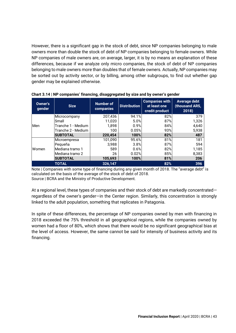However, there is a significant gap in the stock of debt, since NP companies belonging to male owners more than double the stock of debt of NP companies belonging to female owners. While NP companies of male owners are, on average, larger, it is by no means an explanation of these differences, because if we analyze only micro companies, the stock of debt of NP companies belonging to male owners more than doubles that of female owners. Actually, NP companies may be sorted out by activity sector, or by billing, among other subgroups, to find out whether gap gender may be explained otherwise.

| Owner's<br>gender | <b>Size</b>        | Number of<br>companies | Distribution | <b>Companies with</b><br>at least one<br>credit product | <b>Average debt</b><br>(thousand ARS,<br>2018) |
|-------------------|--------------------|------------------------|--------------|---------------------------------------------------------|------------------------------------------------|
| Men               | Microcompany       | 207,436                | 94.1%        | 82%                                                     | 379                                            |
|                   | Small              | 11,020                 | 5.0%         | 87%                                                     | 1,326                                          |
|                   | Tranche 1 - Medium | 1.898                  | 0.9%         | 84%                                                     | 4,640                                          |
|                   | Tranche 2 - Medium | 100                    | 0.05%        | 93%                                                     | 5,938                                          |
|                   | <b>SUBTOTAL</b>    | 220,454                | 100%         | 82%                                                     | 487                                            |
| Women             | Microempresa       | 101,090                | 95.6%        | 81%                                                     | 181                                            |
|                   | Pequeña            | 3,988                  | 3.8%         | 87%                                                     | 594                                            |
|                   | Mediana tramo 1    | 589                    | 0.6%         | 82%                                                     | 1,185                                          |
|                   | Mediana tramo 2    | 26                     | 0.02%        | 85%                                                     | 8,383                                          |
|                   | <b>SUBTOTAL</b>    | 105,693                | 100%         | 81%                                                     | 206                                            |
|                   | <b>TOTAL</b>       | 326,147                |              | 82%                                                     | 396                                            |

**Chart 3.14 | NP companies' financing, disaggregated by size and by owner's gender**

Note | Companies with some type of financing during any given month of 2018. The "average debt" is calculated on the basis of the average of the stock of debt of 2018. Source | BCRA and the Ministry of Productive Development.

At a regional level, these types of companies and their stock of debt are markedly concentrated regardless of the owner's gender—in the Center region. Similarly, this concentration is strongly linked to the adult population, something that replicates in Patagonia.

In spite of these differences, the percentage of NP companies owned by men with financing in 2018 exceeded the 75% threshold in all geographical regions, while the companies owned by women had a floor of 80%, which shows that there would be no significant geographical bias at the level of access. However, the same cannot be said for intensity of business activity and its financing.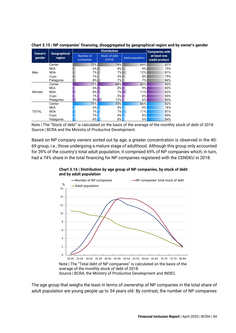|                   | Geographical<br>region |                        | <b>Companies with</b>   |                         |                                |
|-------------------|------------------------|------------------------|-------------------------|-------------------------|--------------------------------|
| Owner's<br>qender |                        | Number of<br>companies | Stock of debt<br>(2018) | <b>Adult population</b> | at least one<br>credit product |
| Men               | Center                 | 72%                    | 74%                     | 64%                     | 82%                            |
|                   | <b>NEA</b>             | 6%                     | 8%                      | 9%                      | 75%                            |
|                   | <b>NOA</b>             | 7%                     | 7%                      | 12%                     | 81%                            |
|                   | Cuyo                   | 7%                     | 4%                      | 8%                      | 79%                            |
|                   | Patagonia              | 8%                     | 7%                      | 7%                      | 84%                            |
| Women             | Center                 | 71%                    | 68%                     | 65%                     | 80%                            |
|                   | <b>NEA</b>             | 6%                     | 8%                      | 9%                      | 80%                            |
|                   | <b>NOA</b>             | 8%                     | 7%                      | 11%                     | 82%                            |
|                   | Cuyo                   | 7%                     | 5%                      | 8%                      | 80%                            |
|                   | Patagonia              | 9%                     | 12%                     | 6%                      | 84%                            |
| TOTAL             | Center                 | 71%                    | 73%                     | 66%                     | 82%                            |
|                   | <b>NEA</b>             | 6%                     | 8%                      | 9%                      | 76%                            |
|                   | <b>NOA</b>             | 7%                     | 7%                      | 11%                     | 81%                            |
|                   | Cuyo                   | 7%                     | 4%                      | 8%                      | 80%                            |
|                   | Patagonia              | 8%                     | 8%                      | 6%                      | 84%                            |

**Chart 3.15 | NP companies' financing, disaggregated by geographical region and by owner's gender**

Note | The "Stock of debt" is calculated on the basis of the average of the monthly stock of debt of 2018. Source | BCRA and the Ministry of Productive Development.

Based on NP company owners sorted out by age, a greater concentration is observed in the 40- 69 group, i.e., those undergoing a mature stage of adulthood. Although this group only accounted for 39% of the country's total adult population, it comprised 69% of NP companies which, in turn, had a 74% share in the total financing for NP companies registered with the CENDEU in 2018.

**Chart 3.16 | Distribution by age group of NP companies, by stock of debt and by adult population** 

![](_page_44_Figure_5.jpeg)

The age group that weighs the least in terms of ownership of NP companies in the total share of adult population are young people up to 34 years old. By contrast, the number of NP companies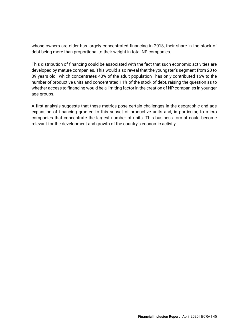whose owners are older has largely concentrated financing in 2018, their share in the stock of debt being more than proportional to their weight in total NP companies.

This distribution of financing could be associated with the fact that such economic activities are developed by mature companies. This would also reveal that the youngster's segment from 20 to 39 years old—which concentrates 40% of the adult population—has only contributed 16% to the number of productive units and concentrated 11% of the stock of debt, raising the question as to whether access to financing would be a limiting factor in the creation of NP companies in younger age groups.

A first analysis suggests that these metrics pose certain challenges in the geographic and age expansion of financing granted to this subset of productive units and, in particular, to micro companies that concentrate the largest number of units. This business format could become relevant for the development and growth of the country's economic activity.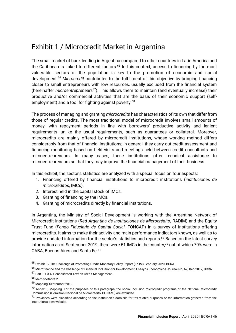### <span id="page-46-0"></span>Exhibit 1 / Microcredit Market in Argentina

The small market of bank lending in Argentina compared to other countries in Latin America and the Caribbean is linked to different factors.<sup>65</sup> In this context, access to financing by the most vulnerable sectors of the population is key to the promotion of economic and social development.<sup>66</sup> *Microcredit* contributes to the fulfillment of this objective by bringing financing closer to small entrepreneurs with low resources, usually excluded from the financial system (hereinafter *microentrepreneurs<sup>67</sup>*). This allows them to maintain (and eventually increase) their productive and/or commercial activities that are the basis of their economic support (selfemployment) and a tool for fighting against poverty.<sup>68</sup>

The process of managing and granting *microcredits* has characteristics of its own that differ from those of regular credits. The most traditional model of microcredit involves small amounts of money, with repayment periods in line with borrowers' productive activity and lenient requirements—unlike the usual requirements, such as guarantees or collateral. Moreover, microcredits are mainly offered by microcredit institutions, whose working method differs considerably from that of financial institutions; in general, they carry out credit assessment and financing monitoring based on field visits and meetings held between credit consultants and microentrepreneurs. In many cases, these institutions offer technical assistance to microentrepreneurs so that they may improve the financial management of their business.

In this exhibit, the sector's statistics are analyzed with a special focus on four aspects:

- 1. Financing offered by financial institutions to microcredit institutions (*instituciones de microcréditos*, IMCs).
- 2. Interest held in the capital stock of IMCs.
- 3. Granting of financing by the IMCs.
- 4. Granting of microcredits directly by financial institutions.

In Argentina, the Ministry of Social Development is working with the Argentine Network of Microcredit Institutions (*[Red Argentina de Instituciones de Microcrédito](http://www.reddemicrocredito.org/)*, RADIM) and the Equity Trust Fund (*[Fondo Fiduciario de Capital Social](https://www.foncap.com.ar/)*, FONCAP) in a survey of institutions offering microcredits. It aims to make their activity and main performance indicators known, as well as to provide updated information for the sector's statistics and reports.<sup>69</sup> Based on the latest survey information as of September 2019, there were 51 IMCs in the country, $70$  out of which 70% were in CABA, Buenos Aires and Santa Fe.<sup>71</sup>

<sup>65</sup> Exhibit 3 / The Challenge of Promoting Credit[, Monetary Policy Report \(IPOM\) February 2020,](https://www.bcra.gob.ar/Pdfs/PoliticaMonetaria/IPOM0220.pdf) BCRA.

<sup>66</sup> [Microfinance and the Challenge of Financial Inclusion for Development,](http://www.bcra.gov.ar/pdfs/investigaciones/67_Ghosh.pdf) Ensayos Económicos Journal No. 67, Dec-2012, BCRA. <sup>67</sup> Part 1.1.3.4. Consolidated Text on Credit Management.

<sup>68</sup> Idem footnote 2.

<sup>69</sup> [Mapping,](http://www.reddemicrocredito.org/images/Mapeo_de_Instituciones_de_Microfinanzas_de_Argentina_Septiembre_2019_l.pdf) September 2019.

<sup>&</sup>lt;sup>70</sup> Annex 1, [Mapping.](http://www.reddemicrocredito.org/images/Mapeo_de_Instituciones_de_Microfinanzas_de_Argentina_Septiembre_2019_l.pdf) For the purposes of this paragraph, the social inclusion microcredit programs of the National Microcredit Commission (Comisión Nacional de Microcrédito, CONAMI) are excluded.

 $71$  Provinces were classified according to the institution's domicile for tax-related purposes or the information gathered from the institution's own website.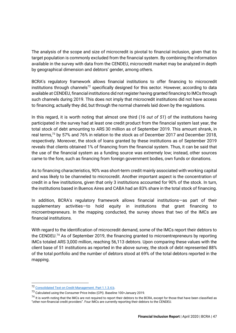The analysis of the scope and size of microcredit is pivotal to financial inclusion, given that its target population is commonly excluded from the financial system. By combining the information available in the survey with data from the CENDEU, microcredit market may be analyzed in depth by geographical dimension and debtors' gender, among others.

BCRA's regulatory framework allows financial institutions to offer financing to microcredit institutions through channels<sup>72</sup> specifically designed for this sector. However, according to data available at CENDEU, financial institutions did not register having granted financing to IMCs through such channels during 2019. This does not imply that microcredit institutions did not have access to financing; actually they did, but through the normal channels laid down by the regulations.

In this regard, it is worth noting that almost one third (*16 out of 51*) of the institutions having participated in the survey had at least one credit product from the financial system last year, the total stock of debt amounting to ARS 30 million as of September 2019. This amount shrank, in real terms,<sup>73</sup> by 57% and 76% in relation to the stock as of December 2017 and December 2018, respectively. Moreover, the stock of loans granted by these institutions as of September 2019 reveals that clients obtained 1% of financing from the financial system. Thus, it can be said that the use of the financial system as a funding source was extremely low; instead, other sources came to the fore, such as financing from foreign government bodies, own funds or donations.

As to financing characteristics, 90% was short-term credit mainly associated with working capital and was likely to be channeled to microcredit. Another important aspect is the concentration of credit in a few institutions, given that only 3 institutions accounted for 90% of the stock. In turn, the institutions based in Buenos Aires and CABA had an 83% share in the total stock of financing.

In addition, BCRA's regulatory framework allows financial institutions—as part of their supplementary activities—to hold equity in institutions that grant financing to microentrepreneurs. In the mapping conducted, the survey shows that two of the IMCs are financial institutions.

With regard to the identification of microcredit demand, some of the IMCs report their debtors to the CENDEU.<sup>74</sup> As of September 2019, the financing granted to microentrepreneurs by reporting IMCs totaled ARS 3,000 million, reaching 56,113 debtors. Upon comparing these values with the client base of 51 institutions as reported in the above survey, the stock of debt represented 88% of the total portfolio and the number of debtors stood at 69% of the total debtors reported in the mapping.

<sup>72</sup> [Consolidated Text on Credit Management. Part 1.1.3.4.b.](https://www.bcra.gob.ar/Pdfs/Texord/t-gescre.pdf)

<sup>73</sup> Calculated using the Consumer Price Index (CPI). Baseline 100=January 2019.

 $^{74}$  It is worth noting that the IMCs are not required to report their debtors to the BCRA, except for those that have been classified as "other non-financial credit providers". Four IMCs are currently reporting their debtors to the CENDEU.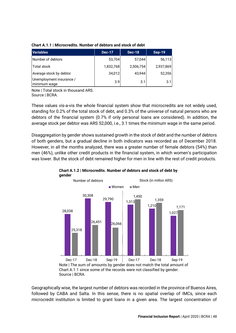| <b>Variables</b>                         | <b>Dec-17</b> | <b>Dec-18</b> | <b>Sep-19</b> |
|------------------------------------------|---------------|---------------|---------------|
| Number of debtors                        | 53,704        | 57,044        | 56,113        |
| <b>Total stock</b>                       | 1,832,768     | 2,506,754     | 2,937,869     |
| Average stock by debtor                  | 34,012        | 43,944        | 52,356        |
| Unemployment insurance /<br>minimum wage | 3.9           | 3.1           | 3.11          |

### **Chart A.1.1 | Microcredits. Number of debtors and stock of debt**

Note | Total stock in thousand ARS. Source | BCRA.

These values vis-a-vis the whole financial system show that microcredits are not widely used, standing for 0.2% of the total stock of debt, and 0.3% of the universe of natural persons who are debtors of the financial system (0.7% if only personal loans are considered). In addition, the average stock per debtor was ARS 52,000, i.e., 3.1 times the minimum wage in the same period.

Disaggregation by gender shows sustained growth in the stock of debt and the number of debtors of both genders, but a gradual decline in both indicators was recorded as of December 2018. However, in all the months analyzed, there was a greater number of female debtors (54%) than men (46%), unlike other credit products in the financial system, in which women's participation was lower. But the stock of debt remained higher for men in line with the rest of credit products.

![](_page_48_Figure_5.jpeg)

![](_page_48_Figure_6.jpeg)

Geographically wise, the largest number of debtors was recorded in the province of Buenos Aires, followed by CABA and Salta. In this sense, there is no spatial overlap of IMCs, since each microcredit institution is limited to grant loans in a given area. The largest concentration of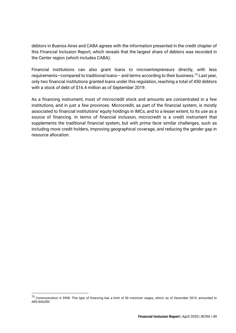debtors in Buenos Aires and CABA agrees with the information presented in the credit chapter of this Financial Inclusion Report, which reveals that the largest share of debtors was recorded in the Center region (which includes CABA).

Financial institutions can also grant loans to microentrepreneurs directly, with less requirements—compared to traditional loans— and terms according to their business.<sup>75</sup> Last year, only two financial institutions granted loans under this regulation, reaching a total of 450 debtors with a stock of debt of \$16.4 million as of September 2019.

As a financing instrument, most of microcredit stock and amounts are concentrated in a few institutions, and in just a few provinces. Microcredit, as part of the financial system, is mostly associated to financial institutions' equity holdings in IMCs, and to a lesser extent, to its use as a source of financing. In terms of financial inclusion, microcredit is a credit instrument that supplements the traditional financial system, but with *prima facie* similar challenges, such as including more credit holders, improving geographical coverage, and reducing the gender gap in resource allocation.

<sup>75</sup> [Communication A 5998:](https://www.bcra.gob.ar/Pdfs/comytexord/A5998.pdf) This type of financing has a limit of 50 minimum wages, which, as of December 2019, amounted to ARS 844,000.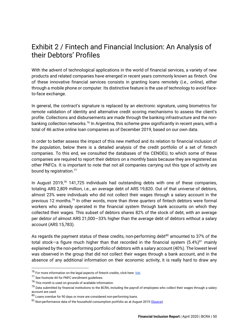### <span id="page-50-0"></span>Exhibit 2 / Fintech and Financial Inclusion: An Analysis of their Debtors' Profiles

With the advent of technological applications in the world of financial services, a variety of new products and related companies have emerged in recent years commonly known as *fintech*. One of these innovative financial services consists in granting loans remotely (i.e., *online*), either through a mobile phone or computer. Its distinctive feature is the use of technology to avoid faceto-face exchange.

In general, the contract's signature is replaced by an electronic signature, using biometrics for remote validation of identity and alternative credit scoring mechanisms to assess the client's profile. Collections and disbursements are made through the banking infrastructure and the nonbanking collection networks.<sup>76</sup> In Argentina, this scheme grew significantly in recent years, with a total of 46 active online loan companies as of December 2019, based on our own data.

In order to better assess the impact of this new method and its relation to financial inclusion of the population, below there is a detailed analysis of the credit portfolio of a set of fintech companies. To this end, we consulted the databases of the CENDEU, to which some of these companies are required to report their debtors on a monthly basis because they are registered as other PNFCs. It is important to note that not all companies carrying out this type of activity are bound by registration.<sup>77</sup>

In August 2019, $78$  141,725 individuals had outstanding debts with one of these companies, totaling ARS 2,809 million, i.e., an average debt of ARS 19,820. Out of that universe of debtors, almost 23% were individuals who did not collect their wages through a salary account in the previous 12 months.<sup>79</sup> In other words, more than *three quarters* of fintech debtors were formal workers who already operated in the financial system through bank accounts on which they collected their wages. This subset of debtors shares 82% of the stock of debt, with an average per debtor of almost ARS 21,000—33% higher than the average debt of debtors without a salary account (ARS 15,783).

As regards the payment status of these credits, non-performing debt $80$  amounted to 37% of the total stock—a figure much higher than that recorded in the financial system  $(5.4%)^{81}$  mainly explained by the non-performing portfolio of debtors with a salary account (40%). The lowest level was observed in the group that did not collect their wages through a bank account, and in the absence of any additional information on their economic activity, it is really hard to draw any

 $^{76}$  For more information on the legal aspects of fintech credits, click here:  $link$ .</u>

<sup>77</sup> See footnote 44 for PNFC enrollment guidelines.

<sup>&</sup>lt;sup>78</sup> This month is used on grounds of available information.

<sup>&</sup>lt;sup>79</sup> Data submitted by financial institutions to the BCRA, including the payroll of employees who collect their wages through a salary account are used.

 $80$  Loans overdue for 90 days or more are considered non-performing loans.

 $81$  Non-performance data of the household consumption portfolio as at August 2019 [\(Source\)](http://www.bcra.gob.ar/PublicacionesEstadisticas/Informe_mensual_sobre_bancos.asp).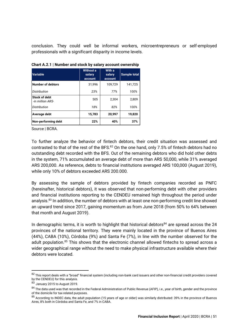conclusion. They could well be informal workers, microentrepreneurs or self-employed professionals with a significant disparity in income levels.

| <b>Variable</b>                   | <b>Without a</b><br>salary<br>account | With a<br>salary<br>account | <b>Sample total</b> |
|-----------------------------------|---------------------------------------|-----------------------------|---------------------|
| <b>Number of debtors</b>          | 31,996                                | 109,729                     | 141,725             |
| Distribution                      | 23%                                   | 77%                         | 100%                |
| Stock of debt<br>-in million ARS- | 505                                   | 2.304                       | 2,809               |
| Distribution                      | 18%                                   | 82%                         | 100%                |
| Average debt                      | 15,783                                | 20,997                      | 19,820              |
| Non-performing debt               | 22%                                   | 40%                         | 37%                 |

**Chart A.2.1 | Number and stock by salary account ownership**

Source | BCRA.

To further analyze the behavior of fintech debtors, their credit situation was assessed and contrasted to that of the rest of the BFS.<sup>82</sup> On the one hand, only 7.5% of fintech debtors had no outstanding debt recorded with the BFS. Out of the remaining debtors who did hold other debts in the system, 71% accumulated an average debt of more than ARS 50,000, while 31% averaged ARS 200,000. As reference, debts to financial institutions averaged ARS 100,000 (August 2019), while only 10% of debtors exceeded ARS 200.000.

By assessing the sample of debtors provided by fintech companies recorded as PNFC (hereinafter, historical debtors), it was observed that non-performing debt with other providers and financial institutions reporting to the CENDEU remained high throughout the period under analysis.<sup>83</sup> In addition, the number of debtors with at least one non-performing credit line showed an upward trend since 2017, gaining momentum as from June 2018 (from 50% to 64% between that month and August 2019).

In demographic terms, it is worth to highlight that historical debtors<sup>84</sup> are spread across the 24 provinces of the national territory. They were mainly located in the province of Buenos Aires (44%), CABA (10%), Córdoba (9%) and Santa Fe (7%), in line with the number observed for the adult population.<sup>85</sup> This shows that the electronic channel allowed fintechs to spread across a wider geographical range without the need to make physical infrastructure available where their debtors were located.

<sup>82</sup> This report deals with a "broad" financial system (including non-bank card issuers and other non-financial credit providers covered by the CENDEU) for this analysis.

<sup>83</sup> January 2015 to August 2019.

<sup>84</sup> The data used was that recorded in the Federal Administration of Public Revenue (AFIP), i.e., year of birth, gender and the province of the domicile for tax-related purposes.

<sup>85</sup> According to INDEC data, the adult population (15 years of age or older) was similarly distributed: 39% in the province of Buenos Aires, 8% both in Córdoba and Santa Fe, and 7% in CABA.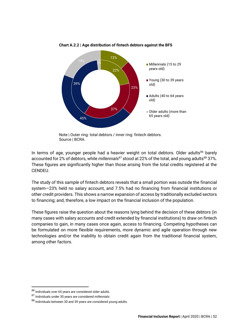![](_page_52_Figure_0.jpeg)

**Chart A.2.2 | Age distribution of fintech debtors against the BFS**

Note | Outer ring: total debtors / inner ring: fintech debtors. Source | BCRA.

In terms of age, younger people had a heavier weight on total debtors. Older adults<sup>86</sup> barely accounted for 2% of debtors, while *millennials<sup>87</sup>* stood at 22% of the total, and young adults<sup>88</sup> 37%. These figures are significantly higher than those arising from the total credits registered at the CENDEU.

The study of this sample of fintech debtors reveals that a small portion was outside the financial system—23% held no salary account, and 7.5% had no financing from financial institutions or other credit providers. This shows a narrow expansion of access by traditionally excluded sectors to financing; and, therefore, a low impact on the financial inclusion of the population.

These figures raise the question about the reasons lying behind the decision of these debtors (in many cases with salary accounts and credit extended by financial institutions) to draw on fintech companies to gain, in many cases once again, access to financing. Competing hypotheses can be formulated on more flexible requirements, more dynamic and agile operation through new technologies and/or the inability to obtain credit again from the traditional financial system, among other factors.

 $^{86}$  Individuals over 65 years are considered older adults.

<sup>87</sup> Individuals under 30 years are considered *millennials*.

<sup>88</sup> Individuals between 30 and 39 years are considered young adults.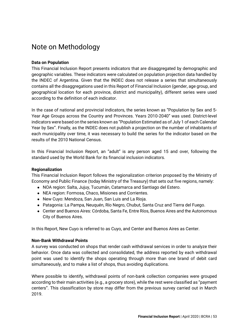### <span id="page-53-0"></span>Note on Methodology

### **Data on Population**

This Financial Inclusion Report presents indicators that are disaggregated by demographic and geographic variables. These indicators were calculated on population projection data handled by the INDEC of Argentina. Given that the INDEC does not release a series that simultaneously contains all the disaggregations used in this Report of Financial Inclusion (gender, age group, and geographical location for each province, district and municipality), different series were used according to the definition of each indicator.

In the case of national and provincial indicators, the series known as "Population by Sex and 5- Year Age Groups across the Country and Provinces. Years 2010-2040" was used. District-level indicators were based on the series known as "Population Estimated as of July 1 of each Calendar Year by Sex". Finally, as the INDEC does not publish a projection on the number of inhabitants of each municipality over time, it was necessary to build the series for the indicator based on the results of the 2010 National Census.

In this Financial Inclusion Report, an "adult" is any person aged 15 and over, following the standard used by the World Bank for its financial inclusion indicators.

### **Regionalization**

This Financial Inclusion Report follows the [regionalization criterion proposed by the Ministry of](https://www.economia.gob.ar/peconomica/dnper/reg_nota_meto.pdf)  [Economy and Public Finance](https://www.economia.gob.ar/peconomica/dnper/reg_nota_meto.pdf) (today Ministry of the Treasury) that sets out five regions, namely:

- NOA region: Salta, Jujuy, Tucumán, Catamarca and Santiago del Estero.
- NEA region: Formosa, Chaco, Misiones and Corrientes.
- New Cuyo: Mendoza, San Juan, San Luis and La Rioja.
- Patagonia: La Pampa, Neuquén, Río Negro, Chubut, Santa Cruz and Tierra del Fuego.
- Center and Buenos Aires: Córdoba, Santa Fe, Entre Ríos, Buenos Aires and the Autonomous City of Buenos Aires.

In this Report, New Cuyo is referred to as Cuyo, and Center and Buenos Aires as Center.

### **Non-Bank Withdrawal Points**

A survey was conducted on shops that render cash withdrawal services in order to analyze their behavior. Once data was collected and consolidated, the address reported by each withdrawal point was used to identify the shops operating through more than one brand of debit card simultaneously, and to make a list of shops, thus avoiding duplications.

Where possible to identify, withdrawal points of non-bank collection companies were grouped according to their main activities (e.g., a grocery store), while the rest were classified as "payment centers". This classification by store may differ from the previous survey carried out in March 2019.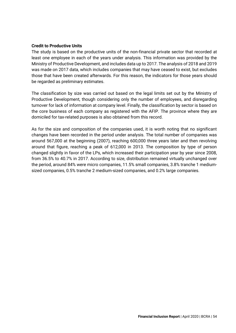#### **Credit to Productive Units**

The study is based on the productive units of the non-financial private sector that recorded at least one employee in each of the years under analysis. This information was provided by the Ministry of Productive Development, and includes data up to 2017. The analysis of 2018 and 2019 was made on 2017 data, which includes companies that may have ceased to exist, but excludes those that have been created afterwards. For this reason, the indicators for those years should be regarded as preliminary estimates.

The classification by size was carried out based on the legal limits set out by the Ministry of Productive Development, though considering only the number of employees, and disregarding turnover for lack of information at company level. Finally, the classification by sector is based on the core business of each company as registered with the AFIP. The province where they are domiciled for tax-related purposes is also obtained from this record.

As for the size and composition of the companies used, it is worth noting that no significant changes have been recorded in the period under analysis. The total number of companies was around 567,000 at the beginning (2007), reaching 600,000 three years later and then revolving around that figure, reaching a peak of 612,000 in 2013. The composition by type of person changed slightly in favor of the LPs, which increased their participation year by year since 2008, from 36.5% to 40.7% in 2017. According to size, distribution remained virtually unchanged over the period, around 84% were micro companies, 11.5% small companies, 3.8% tranche 1 mediumsized companies, 0.5% tranche 2 medium-sized companies, and 0.2% large companies.